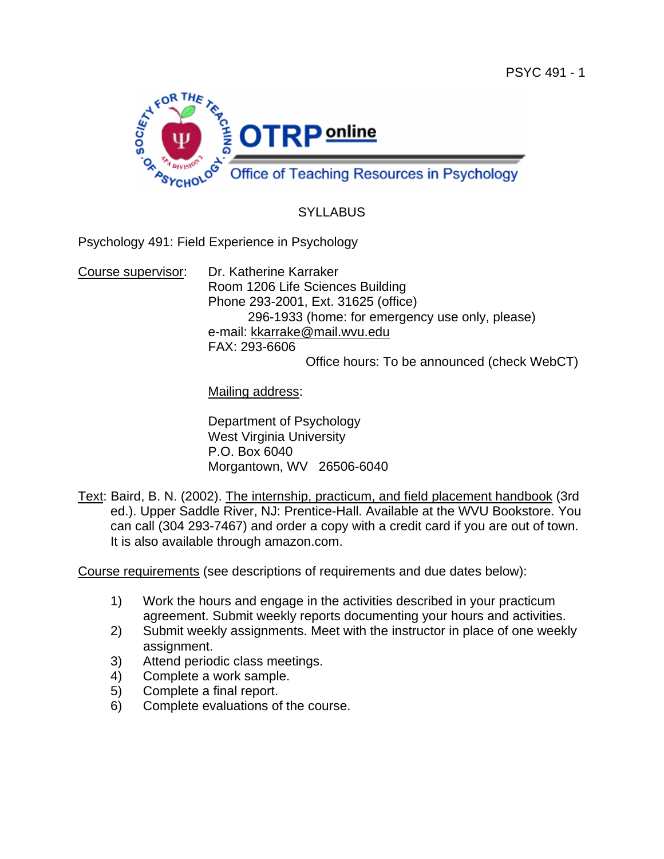

# **SYLLABUS**

Psychology 491: Field Experience in Psychology

Course supervisor: Dr. Katherine Karraker Room 1206 Life Sciences Building Phone 293-2001, Ext. 31625 (office) 296-1933 (home: for emergency use only, please) e-mail: kkarrake@mail.wvu.edu FAX: 293-6606

Office hours: To be announced (check WebCT)

Mailing address:

 Department of Psychology West Virginia University P.O. Box 6040 Morgantown, WV 26506-6040

Text: Baird, B. N. (2002). The internship, practicum, and field placement handbook (3rd ed.). Upper Saddle River, NJ: Prentice-Hall. Available at the WVU Bookstore. You can call (304 293-7467) and order a copy with a credit card if you are out of town. It is also available through amazon.com.

Course requirements (see descriptions of requirements and due dates below):

- 1) Work the hours and engage in the activities described in your practicum agreement. Submit weekly reports documenting your hours and activities.
- 2) Submit weekly assignments. Meet with the instructor in place of one weekly assignment.
- 3) Attend periodic class meetings.
- 4) Complete a work sample.
- 5) Complete a final report.
- 6) Complete evaluations of the course.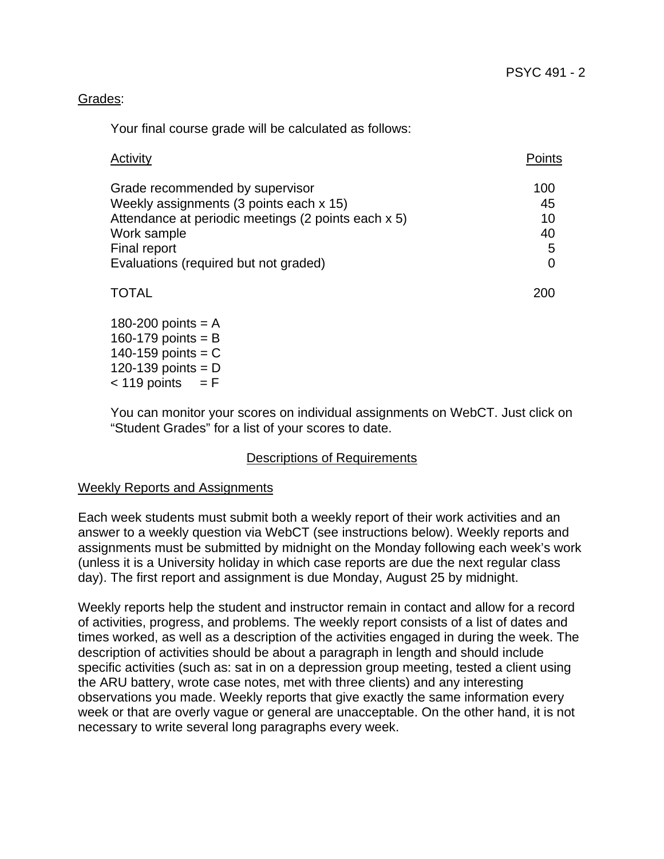### Grades:

Your final course grade will be calculated as follows:

| Activity                                            | Points |
|-----------------------------------------------------|--------|
| Grade recommended by supervisor                     | 100    |
| Weekly assignments (3 points each x 15)             | 45     |
| Attendance at periodic meetings (2 points each x 5) | 10     |
| Work sample                                         | 40     |
| Final report                                        | 5      |
| Evaluations (required but not graded)               |        |
|                                                     |        |

### 180-200 points  $= A$  $160-179$  points = B  $140-159$  points = C 120-139 points  $= D$  $< 119$  points  $= F$

You can monitor your scores on individual assignments on WebCT. Just click on "Student Grades" for a list of your scores to date.

### Descriptions of Requirements

### Weekly Reports and Assignments

Each week students must submit both a weekly report of their work activities and an answer to a weekly question via WebCT (see instructions below). Weekly reports and assignments must be submitted by midnight on the Monday following each week's work (unless it is a University holiday in which case reports are due the next regular class day). The first report and assignment is due Monday, August 25 by midnight.

Weekly reports help the student and instructor remain in contact and allow for a record of activities, progress, and problems. The weekly report consists of a list of dates and times worked, as well as a description of the activities engaged in during the week. The description of activities should be about a paragraph in length and should include specific activities (such as: sat in on a depression group meeting, tested a client using the ARU battery, wrote case notes, met with three clients) and any interesting observations you made. Weekly reports that give exactly the same information every week or that are overly vague or general are unacceptable. On the other hand, it is not necessary to write several long paragraphs every week.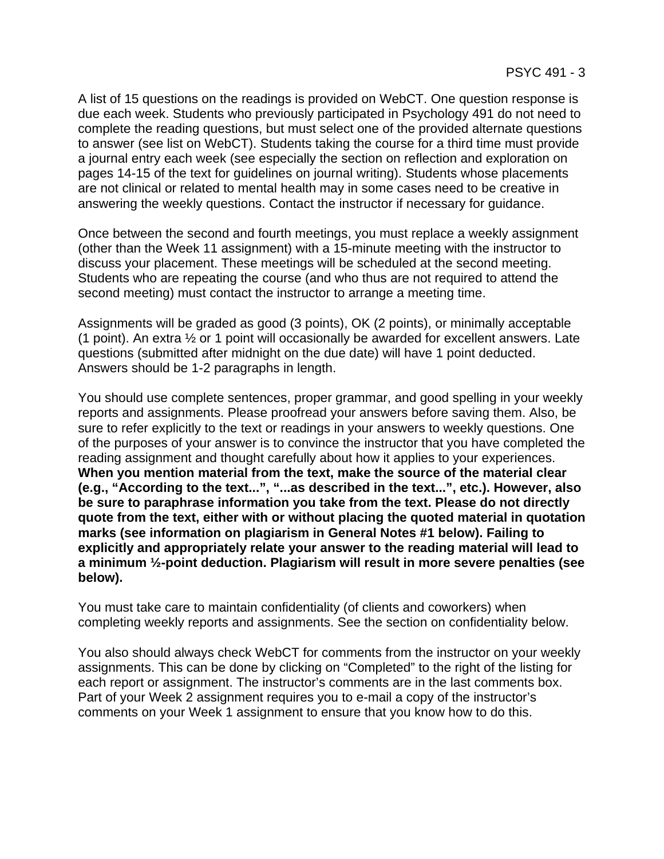A list of 15 questions on the readings is provided on WebCT. One question response is due each week. Students who previously participated in Psychology 491 do not need to complete the reading questions, but must select one of the provided alternate questions to answer (see list on WebCT). Students taking the course for a third time must provide a journal entry each week (see especially the section on reflection and exploration on pages 14-15 of the text for guidelines on journal writing). Students whose placements are not clinical or related to mental health may in some cases need to be creative in answering the weekly questions. Contact the instructor if necessary for guidance.

Once between the second and fourth meetings, you must replace a weekly assignment (other than the Week 11 assignment) with a 15-minute meeting with the instructor to discuss your placement. These meetings will be scheduled at the second meeting. Students who are repeating the course (and who thus are not required to attend the second meeting) must contact the instructor to arrange a meeting time.

Assignments will be graded as good (3 points), OK (2 points), or minimally acceptable (1 point). An extra ½ or 1 point will occasionally be awarded for excellent answers. Late questions (submitted after midnight on the due date) will have 1 point deducted. Answers should be 1-2 paragraphs in length.

You should use complete sentences, proper grammar, and good spelling in your weekly reports and assignments. Please proofread your answers before saving them. Also, be sure to refer explicitly to the text or readings in your answers to weekly questions. One of the purposes of your answer is to convince the instructor that you have completed the reading assignment and thought carefully about how it applies to your experiences. **When you mention material from the text, make the source of the material clear (e.g., "According to the text...", "...as described in the text...", etc.). However, also be sure to paraphrase information you take from the text. Please do not directly quote from the text, either with or without placing the quoted material in quotation marks (see information on plagiarism in General Notes #1 below). Failing to explicitly and appropriately relate your answer to the reading material will lead to a minimum ½-point deduction. Plagiarism will result in more severe penalties (see below).** 

You must take care to maintain confidentiality (of clients and coworkers) when completing weekly reports and assignments. See the section on confidentiality below.

You also should always check WebCT for comments from the instructor on your weekly assignments. This can be done by clicking on "Completed" to the right of the listing for each report or assignment. The instructor's comments are in the last comments box. Part of your Week 2 assignment requires you to e-mail a copy of the instructor's comments on your Week 1 assignment to ensure that you know how to do this.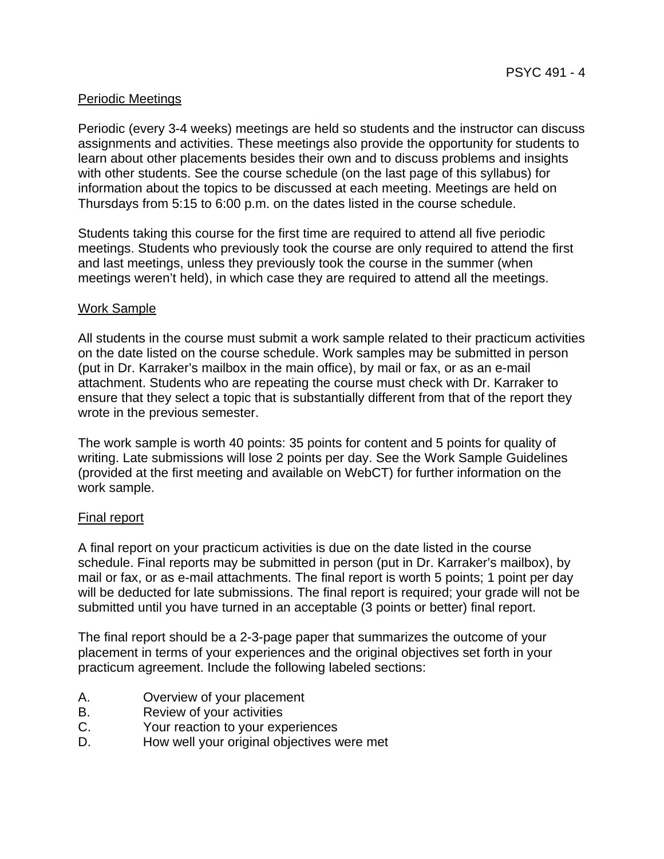### Periodic Meetings

Periodic (every 3-4 weeks) meetings are held so students and the instructor can discuss assignments and activities. These meetings also provide the opportunity for students to learn about other placements besides their own and to discuss problems and insights with other students. See the course schedule (on the last page of this syllabus) for information about the topics to be discussed at each meeting. Meetings are held on Thursdays from 5:15 to 6:00 p.m. on the dates listed in the course schedule.

Students taking this course for the first time are required to attend all five periodic meetings. Students who previously took the course are only required to attend the first and last meetings, unless they previously took the course in the summer (when meetings weren't held), in which case they are required to attend all the meetings.

### Work Sample

All students in the course must submit a work sample related to their practicum activities on the date listed on the course schedule. Work samples may be submitted in person (put in Dr. Karraker's mailbox in the main office), by mail or fax, or as an e-mail attachment. Students who are repeating the course must check with Dr. Karraker to ensure that they select a topic that is substantially different from that of the report they wrote in the previous semester.

The work sample is worth 40 points: 35 points for content and 5 points for quality of writing. Late submissions will lose 2 points per day. See the Work Sample Guidelines (provided at the first meeting and available on WebCT) for further information on the work sample.

### Final report

A final report on your practicum activities is due on the date listed in the course schedule. Final reports may be submitted in person (put in Dr. Karraker's mailbox), by mail or fax, or as e-mail attachments. The final report is worth 5 points; 1 point per day will be deducted for late submissions. The final report is required; your grade will not be submitted until you have turned in an acceptable (3 points or better) final report.

The final report should be a 2-3-page paper that summarizes the outcome of your placement in terms of your experiences and the original objectives set forth in your practicum agreement. Include the following labeled sections:

- A. Overview of your placement
- B. Review of your activities
- C. Your reaction to your experiences
- D. How well your original objectives were met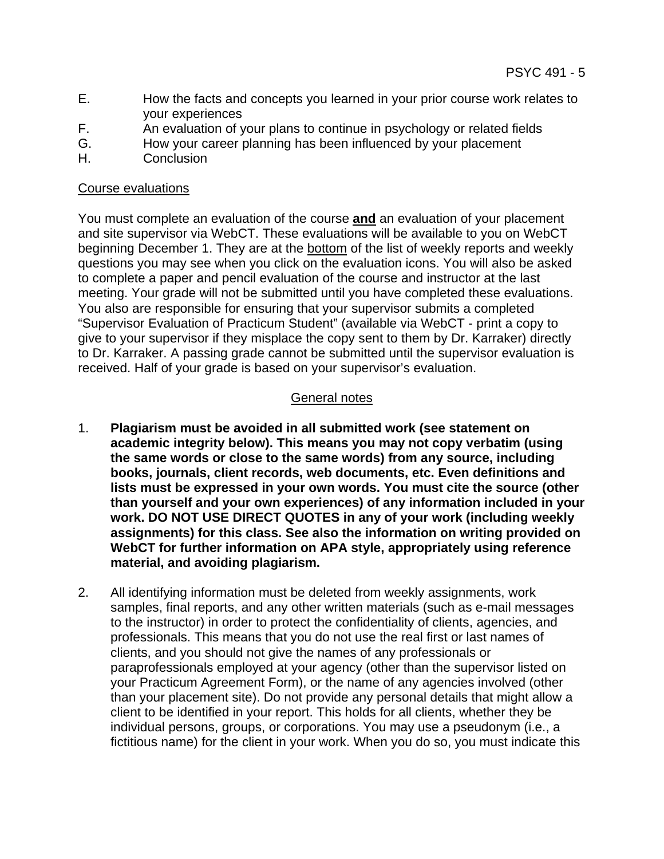- E. How the facts and concepts you learned in your prior course work relates to your experiences
- F. An evaluation of your plans to continue in psychology or related fields
- G. How your career planning has been influenced by your placement
- H. Conclusion

### Course evaluations

You must complete an evaluation of the course **and** an evaluation of your placement and site supervisor via WebCT. These evaluations will be available to you on WebCT beginning December 1. They are at the bottom of the list of weekly reports and weekly questions you may see when you click on the evaluation icons. You will also be asked to complete a paper and pencil evaluation of the course and instructor at the last meeting. Your grade will not be submitted until you have completed these evaluations. You also are responsible for ensuring that your supervisor submits a completed "Supervisor Evaluation of Practicum Student" (available via WebCT - print a copy to give to your supervisor if they misplace the copy sent to them by Dr. Karraker) directly to Dr. Karraker. A passing grade cannot be submitted until the supervisor evaluation is received. Half of your grade is based on your supervisor's evaluation.

# General notes

- 1. **Plagiarism must be avoided in all submitted work (see statement on academic integrity below). This means you may not copy verbatim (using the same words or close to the same words) from any source, including books, journals, client records, web documents, etc. Even definitions and lists must be expressed in your own words. You must cite the source (other than yourself and your own experiences) of any information included in your work. DO NOT USE DIRECT QUOTES in any of your work (including weekly assignments) for this class. See also the information on writing provided on WebCT for further information on APA style, appropriately using reference material, and avoiding plagiarism.**
- 2. All identifying information must be deleted from weekly assignments, work samples, final reports, and any other written materials (such as e-mail messages to the instructor) in order to protect the confidentiality of clients, agencies, and professionals. This means that you do not use the real first or last names of clients, and you should not give the names of any professionals or paraprofessionals employed at your agency (other than the supervisor listed on your Practicum Agreement Form), or the name of any agencies involved (other than your placement site). Do not provide any personal details that might allow a client to be identified in your report. This holds for all clients, whether they be individual persons, groups, or corporations. You may use a pseudonym (i.e., a fictitious name) for the client in your work. When you do so, you must indicate this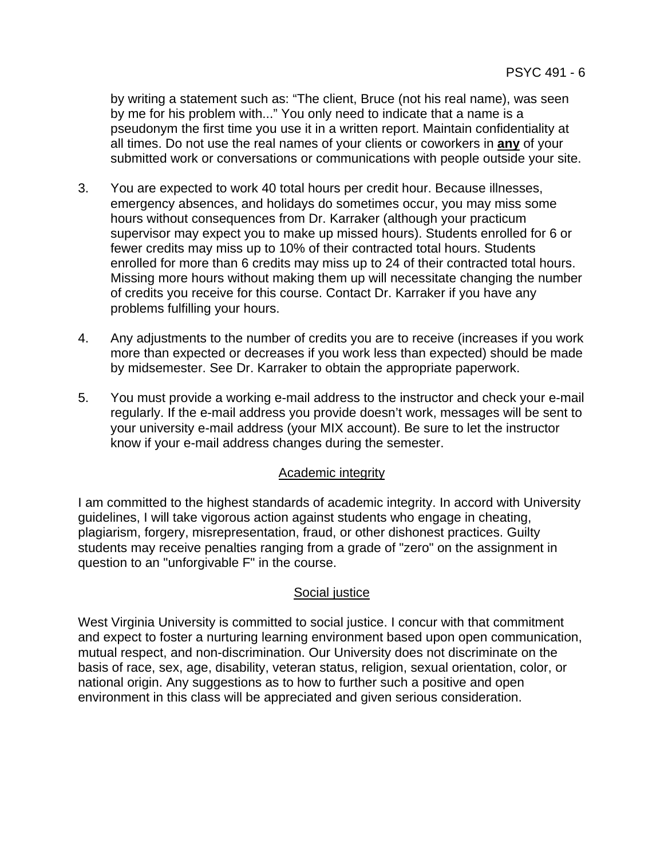by writing a statement such as: "The client, Bruce (not his real name), was seen by me for his problem with..." You only need to indicate that a name is a pseudonym the first time you use it in a written report. Maintain confidentiality at all times. Do not use the real names of your clients or coworkers in **any** of your submitted work or conversations or communications with people outside your site.

- 3. You are expected to work 40 total hours per credit hour. Because illnesses, emergency absences, and holidays do sometimes occur, you may miss some hours without consequences from Dr. Karraker (although your practicum supervisor may expect you to make up missed hours). Students enrolled for 6 or fewer credits may miss up to 10% of their contracted total hours. Students enrolled for more than 6 credits may miss up to 24 of their contracted total hours. Missing more hours without making them up will necessitate changing the number of credits you receive for this course. Contact Dr. Karraker if you have any problems fulfilling your hours.
- 4. Any adjustments to the number of credits you are to receive (increases if you work more than expected or decreases if you work less than expected) should be made by midsemester. See Dr. Karraker to obtain the appropriate paperwork.
- 5. You must provide a working e-mail address to the instructor and check your e-mail regularly. If the e-mail address you provide doesn't work, messages will be sent to your university e-mail address (your MIX account). Be sure to let the instructor know if your e-mail address changes during the semester.

### Academic integrity

I am committed to the highest standards of academic integrity. In accord with University guidelines, I will take vigorous action against students who engage in cheating, plagiarism, forgery, misrepresentation, fraud, or other dishonest practices. Guilty students may receive penalties ranging from a grade of "zero" on the assignment in question to an "unforgivable F" in the course.

### Social justice

West Virginia University is committed to social justice. I concur with that commitment and expect to foster a nurturing learning environment based upon open communication, mutual respect, and non-discrimination. Our University does not discriminate on the basis of race, sex, age, disability, veteran status, religion, sexual orientation, color, or national origin. Any suggestions as to how to further such a positive and open environment in this class will be appreciated and given serious consideration.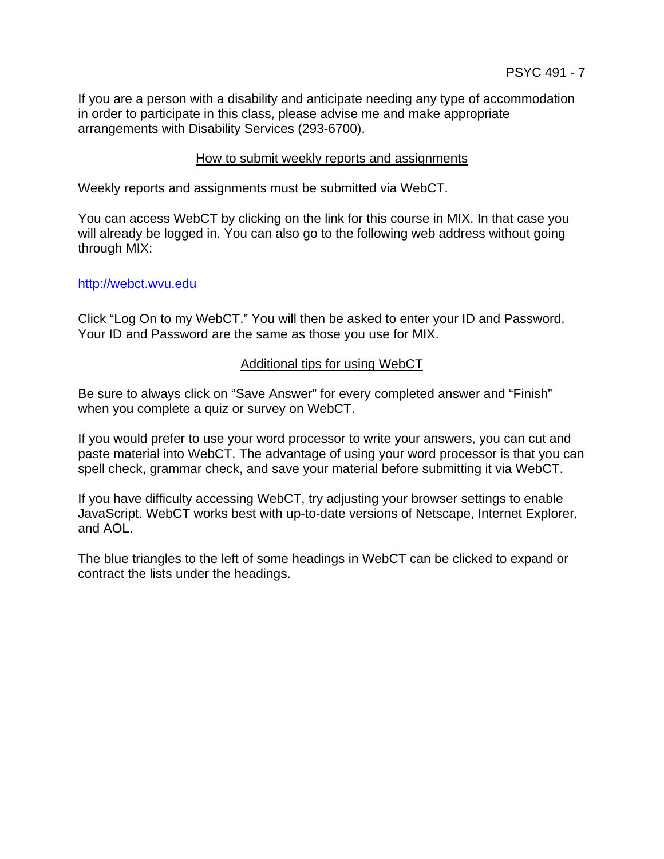If you are a person with a disability and anticipate needing any type of accommodation in order to participate in this class, please advise me and make appropriate arrangements with Disability Services (293-6700).

### How to submit weekly reports and assignments

Weekly reports and assignments must be submitted via WebCT.

You can access WebCT by clicking on the link for this course in MIX. In that case you will already be logged in. You can also go to the following web address without going through MIX:

#### http://webct.wvu.edu

Click "Log On to my WebCT." You will then be asked to enter your ID and Password. Your ID and Password are the same as those you use for MIX.

#### Additional tips for using WebCT

Be sure to always click on "Save Answer" for every completed answer and "Finish" when you complete a quiz or survey on WebCT.

If you would prefer to use your word processor to write your answers, you can cut and paste material into WebCT. The advantage of using your word processor is that you can spell check, grammar check, and save your material before submitting it via WebCT.

If you have difficulty accessing WebCT, try adjusting your browser settings to enable JavaScript. WebCT works best with up-to-date versions of Netscape, Internet Explorer, and AOL.

The blue triangles to the left of some headings in WebCT can be clicked to expand or contract the lists under the headings.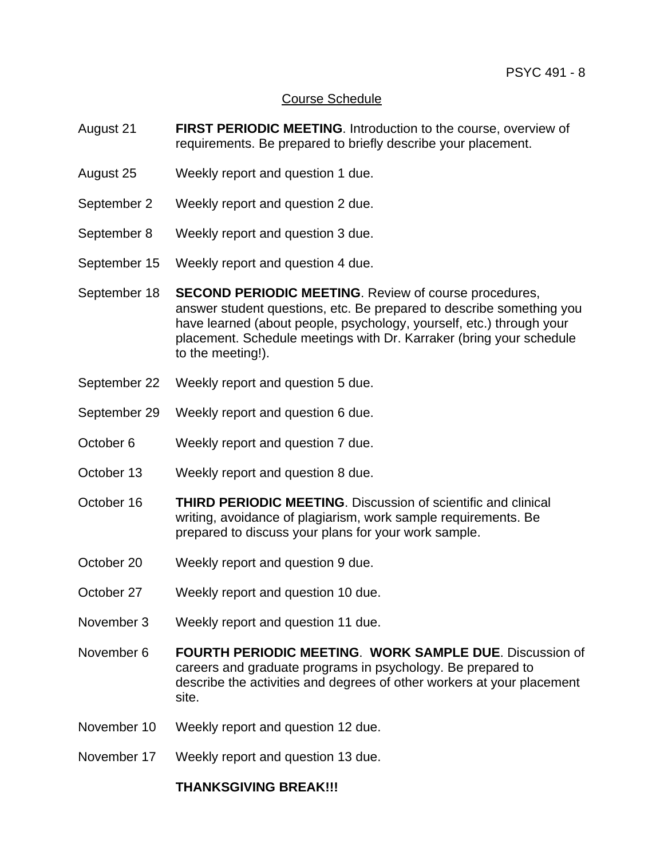### Course Schedule

- August 21 **FIRST PERIODIC MEETING**. Introduction to the course, overview of requirements. Be prepared to briefly describe your placement.
- August 25 Weekly report and question 1 due.
- September 2 Weekly report and question 2 due.
- September 8 Weekly report and question 3 due.
- September 15 Weekly report and question 4 due.
- September 18 **SECOND PERIODIC MEETING**. Review of course procedures, answer student questions, etc. Be prepared to describe something you have learned (about people, psychology, yourself, etc.) through your placement. Schedule meetings with Dr. Karraker (bring your schedule to the meeting!).
- September 22 Weekly report and question 5 due.
- September 29 Weekly report and question 6 due.
- October 6 Weekly report and question 7 due.
- October 13 Weekly report and question 8 due.
- October 16 **THIRD PERIODIC MEETING**. Discussion of scientific and clinical writing, avoidance of plagiarism, work sample requirements. Be prepared to discuss your plans for your work sample.
- October 20 Weekly report and question 9 due.
- October 27 Weekly report and question 10 due.
- November 3 Weekly report and question 11 due.
- November 6 **FOURTH PERIODIC MEETING**. **WORK SAMPLE DUE**. Discussion of careers and graduate programs in psychology. Be prepared to describe the activities and degrees of other workers at your placement site.
- November 10 Weekly report and question 12 due.
- November 17 Weekly report and question 13 due.

#### **THANKSGIVING BREAK!!!**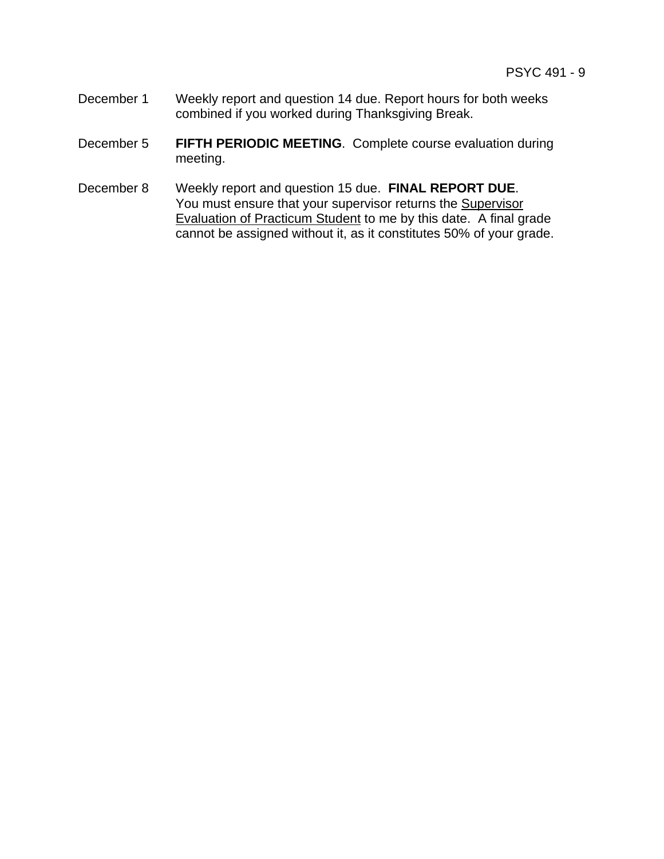- December 1 Weekly report and question 14 due. Report hours for both weeks combined if you worked during Thanksgiving Break.
- December 5 **FIFTH PERIODIC MEETING**. Complete course evaluation during meeting.
- December 8 Weekly report and question 15 due. **FINAL REPORT DUE**. You must ensure that your supervisor returns the **Supervisor** Evaluation of Practicum Student to me by this date. A final grade cannot be assigned without it, as it constitutes 50% of your grade.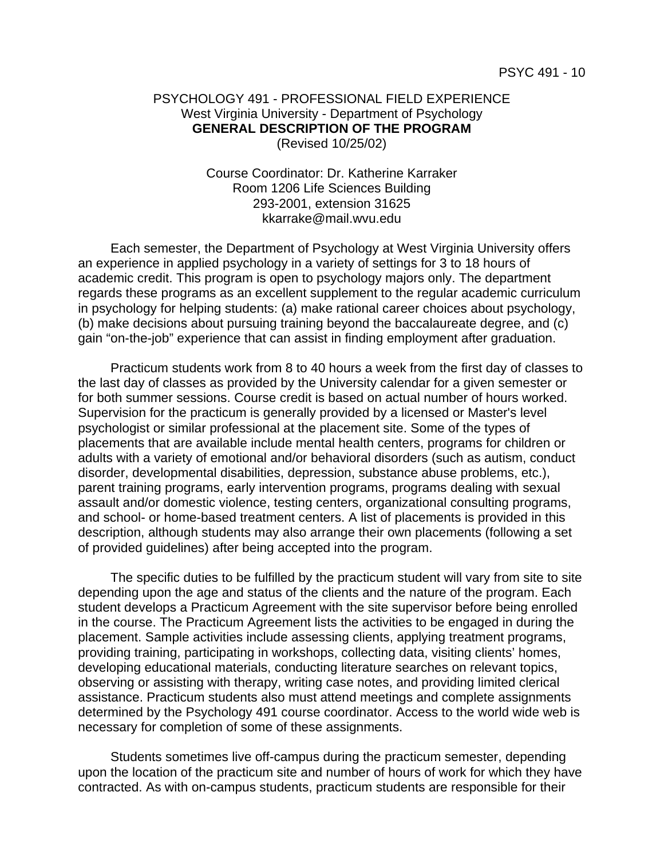#### PSYCHOLOGY 491 - PROFESSIONAL FIELD EXPERIENCE West Virginia University - Department of Psychology  **GENERAL DESCRIPTION OF THE PROGRAM** (Revised 10/25/02)

 Course Coordinator: Dr. Katherine Karraker Room 1206 Life Sciences Building 293-2001, extension 31625 kkarrake@mail.wvu.edu

 Each semester, the Department of Psychology at West Virginia University offers an experience in applied psychology in a variety of settings for 3 to 18 hours of academic credit. This program is open to psychology majors only. The department regards these programs as an excellent supplement to the regular academic curriculum in psychology for helping students: (a) make rational career choices about psychology, (b) make decisions about pursuing training beyond the baccalaureate degree, and (c) gain "on-the-job" experience that can assist in finding employment after graduation.

 Practicum students work from 8 to 40 hours a week from the first day of classes to the last day of classes as provided by the University calendar for a given semester or for both summer sessions. Course credit is based on actual number of hours worked. Supervision for the practicum is generally provided by a licensed or Master's level psychologist or similar professional at the placement site. Some of the types of placements that are available include mental health centers, programs for children or adults with a variety of emotional and/or behavioral disorders (such as autism, conduct disorder, developmental disabilities, depression, substance abuse problems, etc.), parent training programs, early intervention programs, programs dealing with sexual assault and/or domestic violence, testing centers, organizational consulting programs, and school- or home-based treatment centers. A list of placements is provided in this description, although students may also arrange their own placements (following a set of provided guidelines) after being accepted into the program.

 The specific duties to be fulfilled by the practicum student will vary from site to site depending upon the age and status of the clients and the nature of the program. Each student develops a Practicum Agreement with the site supervisor before being enrolled in the course. The Practicum Agreement lists the activities to be engaged in during the placement. Sample activities include assessing clients, applying treatment programs, providing training, participating in workshops, collecting data, visiting clients' homes, developing educational materials, conducting literature searches on relevant topics, observing or assisting with therapy, writing case notes, and providing limited clerical assistance. Practicum students also must attend meetings and complete assignments determined by the Psychology 491 course coordinator. Access to the world wide web is necessary for completion of some of these assignments.

 Students sometimes live off-campus during the practicum semester, depending upon the location of the practicum site and number of hours of work for which they have contracted. As with on-campus students, practicum students are responsible for their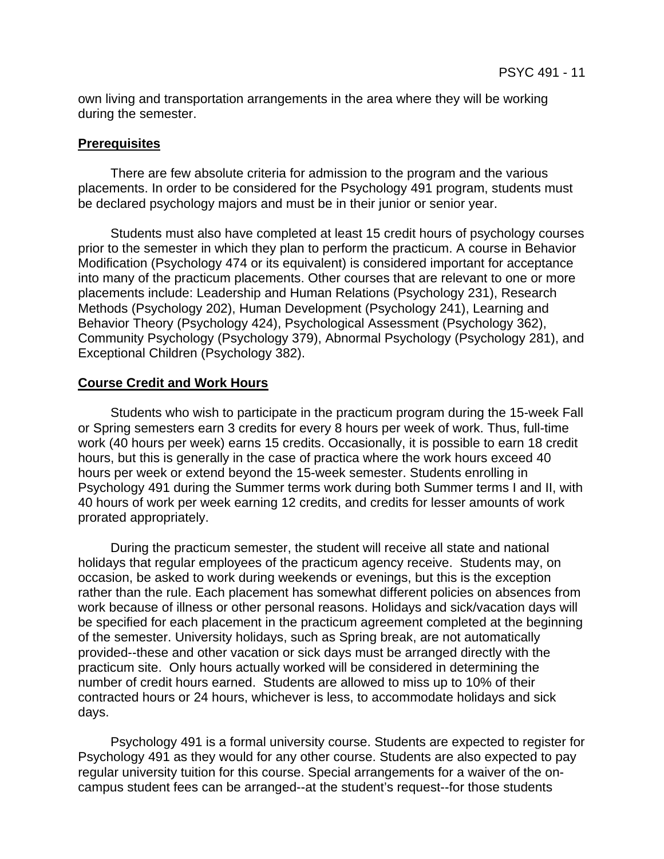own living and transportation arrangements in the area where they will be working during the semester.

#### **Prerequisites**

 There are few absolute criteria for admission to the program and the various placements. In order to be considered for the Psychology 491 program, students must be declared psychology majors and must be in their junior or senior year.

 Students must also have completed at least 15 credit hours of psychology courses prior to the semester in which they plan to perform the practicum. A course in Behavior Modification (Psychology 474 or its equivalent) is considered important for acceptance into many of the practicum placements. Other courses that are relevant to one or more placements include: Leadership and Human Relations (Psychology 231), Research Methods (Psychology 202), Human Development (Psychology 241), Learning and Behavior Theory (Psychology 424), Psychological Assessment (Psychology 362), Community Psychology (Psychology 379), Abnormal Psychology (Psychology 281), and Exceptional Children (Psychology 382).

#### **Course Credit and Work Hours**

 Students who wish to participate in the practicum program during the 15-week Fall or Spring semesters earn 3 credits for every 8 hours per week of work. Thus, full-time work (40 hours per week) earns 15 credits. Occasionally, it is possible to earn 18 credit hours, but this is generally in the case of practica where the work hours exceed 40 hours per week or extend beyond the 15-week semester. Students enrolling in Psychology 491 during the Summer terms work during both Summer terms I and II, with 40 hours of work per week earning 12 credits, and credits for lesser amounts of work prorated appropriately.

 During the practicum semester, the student will receive all state and national holidays that regular employees of the practicum agency receive. Students may, on occasion, be asked to work during weekends or evenings, but this is the exception rather than the rule. Each placement has somewhat different policies on absences from work because of illness or other personal reasons. Holidays and sick/vacation days will be specified for each placement in the practicum agreement completed at the beginning of the semester. University holidays, such as Spring break, are not automatically provided--these and other vacation or sick days must be arranged directly with the practicum site. Only hours actually worked will be considered in determining the number of credit hours earned. Students are allowed to miss up to 10% of their contracted hours or 24 hours, whichever is less, to accommodate holidays and sick days.

 Psychology 491 is a formal university course. Students are expected to register for Psychology 491 as they would for any other course. Students are also expected to pay regular university tuition for this course. Special arrangements for a waiver of the oncampus student fees can be arranged--at the student's request--for those students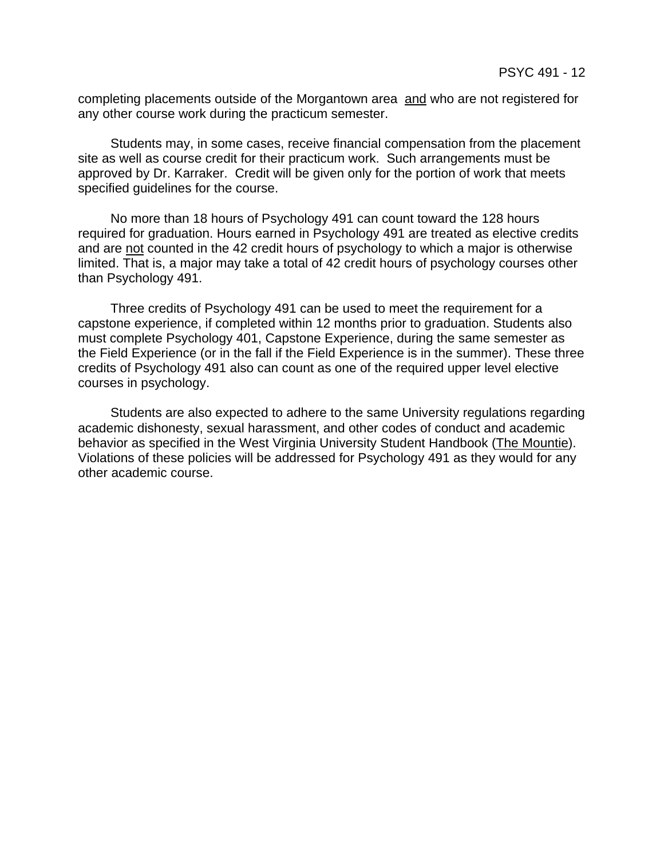completing placements outside of the Morgantown area and who are not registered for any other course work during the practicum semester.

 Students may, in some cases, receive financial compensation from the placement site as well as course credit for their practicum work. Such arrangements must be approved by Dr. Karraker. Credit will be given only for the portion of work that meets specified guidelines for the course.

 No more than 18 hours of Psychology 491 can count toward the 128 hours required for graduation. Hours earned in Psychology 491 are treated as elective credits and are not counted in the 42 credit hours of psychology to which a major is otherwise limited. That is, a major may take a total of 42 credit hours of psychology courses other than Psychology 491.

 Three credits of Psychology 491 can be used to meet the requirement for a capstone experience, if completed within 12 months prior to graduation. Students also must complete Psychology 401, Capstone Experience, during the same semester as the Field Experience (or in the fall if the Field Experience is in the summer). These three credits of Psychology 491 also can count as one of the required upper level elective courses in psychology.

 Students are also expected to adhere to the same University regulations regarding academic dishonesty, sexual harassment, and other codes of conduct and academic behavior as specified in the West Virginia University Student Handbook (The Mountie). Violations of these policies will be addressed for Psychology 491 as they would for any other academic course.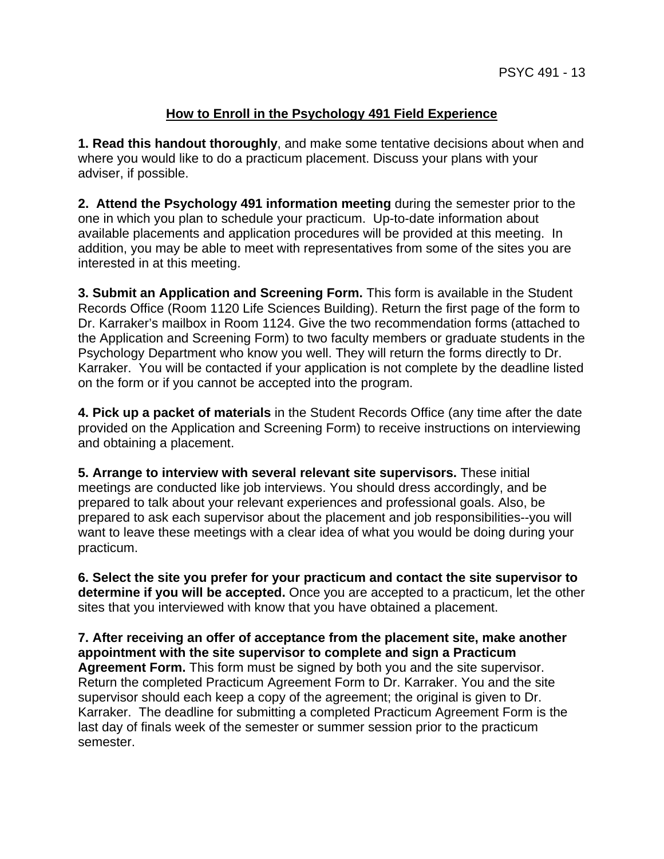# **How to Enroll in the Psychology 491 Field Experience**

**1. Read this handout thoroughly**, and make some tentative decisions about when and where you would like to do a practicum placement. Discuss your plans with your adviser, if possible.

**2. Attend the Psychology 491 information meeting** during the semester prior to the one in which you plan to schedule your practicum. Up-to-date information about available placements and application procedures will be provided at this meeting. In addition, you may be able to meet with representatives from some of the sites you are interested in at this meeting.

**3. Submit an Application and Screening Form.** This form is available in the Student Records Office (Room 1120 Life Sciences Building). Return the first page of the form to Dr. Karraker's mailbox in Room 1124. Give the two recommendation forms (attached to the Application and Screening Form) to two faculty members or graduate students in the Psychology Department who know you well. They will return the forms directly to Dr. Karraker. You will be contacted if your application is not complete by the deadline listed on the form or if you cannot be accepted into the program.

**4. Pick up a packet of materials** in the Student Records Office (any time after the date provided on the Application and Screening Form) to receive instructions on interviewing and obtaining a placement.

**5. Arrange to interview with several relevant site supervisors.** These initial meetings are conducted like job interviews. You should dress accordingly, and be prepared to talk about your relevant experiences and professional goals. Also, be prepared to ask each supervisor about the placement and job responsibilities--you will want to leave these meetings with a clear idea of what you would be doing during your practicum.

**6. Select the site you prefer for your practicum and contact the site supervisor to determine if you will be accepted.** Once you are accepted to a practicum, let the other sites that you interviewed with know that you have obtained a placement.

**7. After receiving an offer of acceptance from the placement site, make another appointment with the site supervisor to complete and sign a Practicum Agreement Form.** This form must be signed by both you and the site supervisor. Return the completed Practicum Agreement Form to Dr. Karraker. You and the site supervisor should each keep a copy of the agreement; the original is given to Dr. Karraker. The deadline for submitting a completed Practicum Agreement Form is the last day of finals week of the semester or summer session prior to the practicum semester.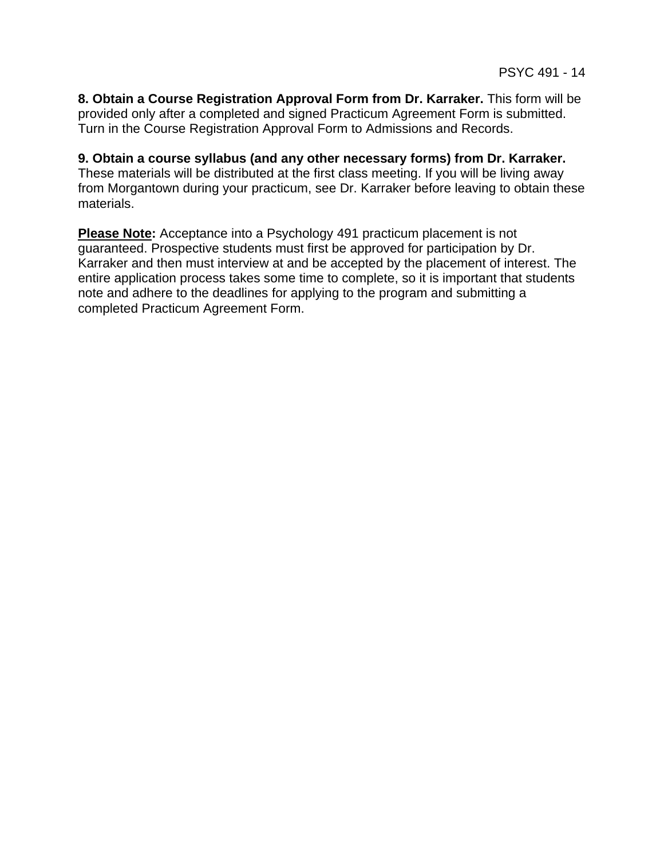**8. Obtain a Course Registration Approval Form from Dr. Karraker.** This form will be provided only after a completed and signed Practicum Agreement Form is submitted. Turn in the Course Registration Approval Form to Admissions and Records.

**9. Obtain a course syllabus (and any other necessary forms) from Dr. Karraker.** These materials will be distributed at the first class meeting. If you will be living away from Morgantown during your practicum, see Dr. Karraker before leaving to obtain these materials.

**Please Note:** Acceptance into a Psychology 491 practicum placement is not guaranteed. Prospective students must first be approved for participation by Dr. Karraker and then must interview at and be accepted by the placement of interest. The entire application process takes some time to complete, so it is important that students note and adhere to the deadlines for applying to the program and submitting a completed Practicum Agreement Form.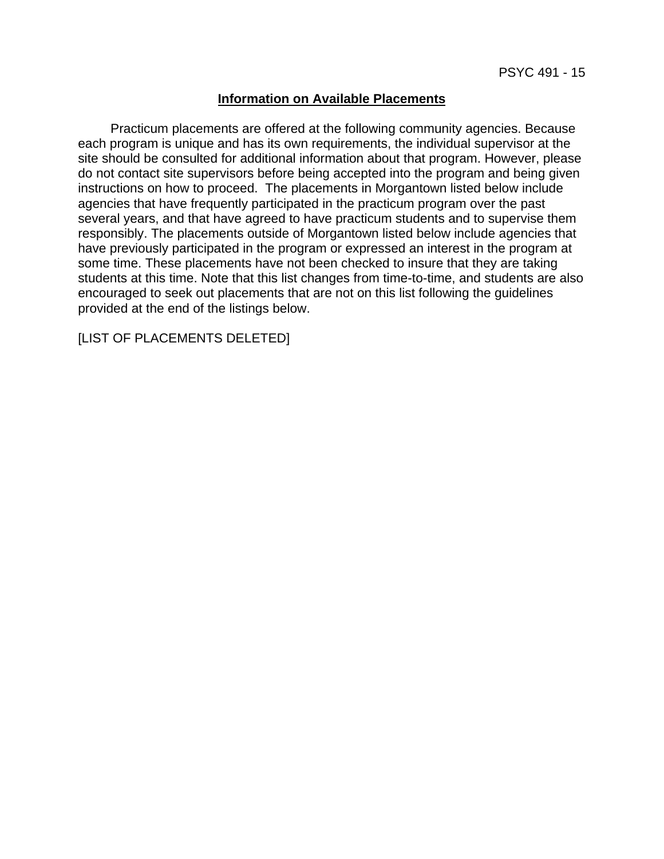### **Information on Available Placements**

 Practicum placements are offered at the following community agencies. Because each program is unique and has its own requirements, the individual supervisor at the site should be consulted for additional information about that program. However, please do not contact site supervisors before being accepted into the program and being given instructions on how to proceed. The placements in Morgantown listed below include agencies that have frequently participated in the practicum program over the past several years, and that have agreed to have practicum students and to supervise them responsibly. The placements outside of Morgantown listed below include agencies that have previously participated in the program or expressed an interest in the program at some time. These placements have not been checked to insure that they are taking students at this time. Note that this list changes from time-to-time, and students are also encouraged to seek out placements that are not on this list following the guidelines provided at the end of the listings below.

[LIST OF PLACEMENTS DELETED]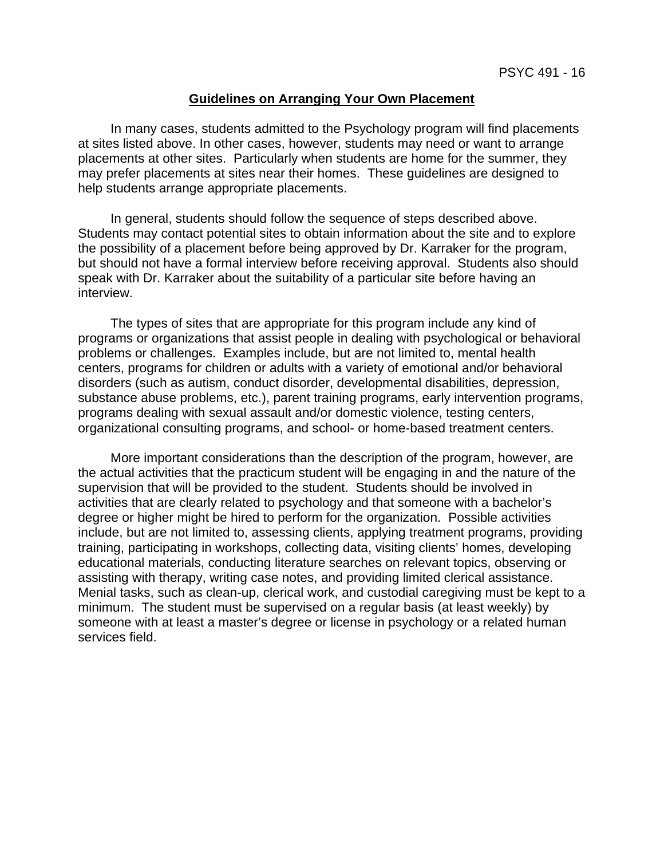#### **Guidelines on Arranging Your Own Placement**

 In many cases, students admitted to the Psychology program will find placements at sites listed above. In other cases, however, students may need or want to arrange placements at other sites. Particularly when students are home for the summer, they may prefer placements at sites near their homes. These guidelines are designed to help students arrange appropriate placements.

 In general, students should follow the sequence of steps described above. Students may contact potential sites to obtain information about the site and to explore the possibility of a placement before being approved by Dr. Karraker for the program, but should not have a formal interview before receiving approval. Students also should speak with Dr. Karraker about the suitability of a particular site before having an interview.

 The types of sites that are appropriate for this program include any kind of programs or organizations that assist people in dealing with psychological or behavioral problems or challenges. Examples include, but are not limited to, mental health centers, programs for children or adults with a variety of emotional and/or behavioral disorders (such as autism, conduct disorder, developmental disabilities, depression, substance abuse problems, etc.), parent training programs, early intervention programs, programs dealing with sexual assault and/or domestic violence, testing centers, organizational consulting programs, and school- or home-based treatment centers.

 More important considerations than the description of the program, however, are the actual activities that the practicum student will be engaging in and the nature of the supervision that will be provided to the student. Students should be involved in activities that are clearly related to psychology and that someone with a bachelor's degree or higher might be hired to perform for the organization. Possible activities include, but are not limited to, assessing clients, applying treatment programs, providing training, participating in workshops, collecting data, visiting clients' homes, developing educational materials, conducting literature searches on relevant topics, observing or assisting with therapy, writing case notes, and providing limited clerical assistance. Menial tasks, such as clean-up, clerical work, and custodial caregiving must be kept to a minimum. The student must be supervised on a regular basis (at least weekly) by someone with at least a master's degree or license in psychology or a related human services field.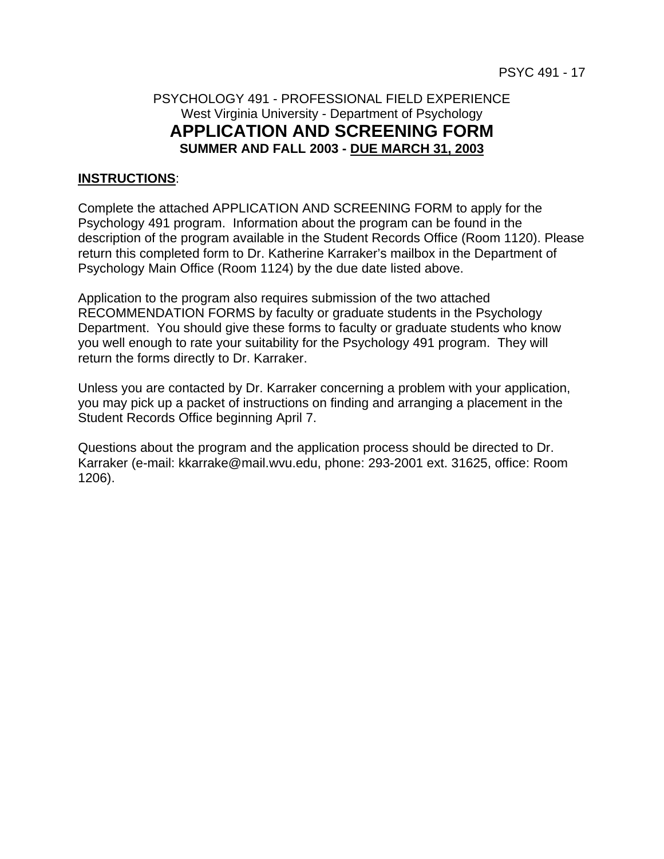# PSYCHOLOGY 491 - PROFESSIONAL FIELD EXPERIENCE West Virginia University - Department of Psychology **APPLICATION AND SCREENING FORM SUMMER AND FALL 2003 - DUE MARCH 31, 2003**

### **INSTRUCTIONS**:

Complete the attached APPLICATION AND SCREENING FORM to apply for the Psychology 491 program. Information about the program can be found in the description of the program available in the Student Records Office (Room 1120). Please return this completed form to Dr. Katherine Karraker's mailbox in the Department of Psychology Main Office (Room 1124) by the due date listed above.

Application to the program also requires submission of the two attached RECOMMENDATION FORMS by faculty or graduate students in the Psychology Department. You should give these forms to faculty or graduate students who know you well enough to rate your suitability for the Psychology 491 program. They will return the forms directly to Dr. Karraker.

Unless you are contacted by Dr. Karraker concerning a problem with your application, you may pick up a packet of instructions on finding and arranging a placement in the Student Records Office beginning April 7.

Questions about the program and the application process should be directed to Dr. Karraker (e-mail: kkarrake@mail.wvu.edu, phone: 293-2001 ext. 31625, office: Room 1206).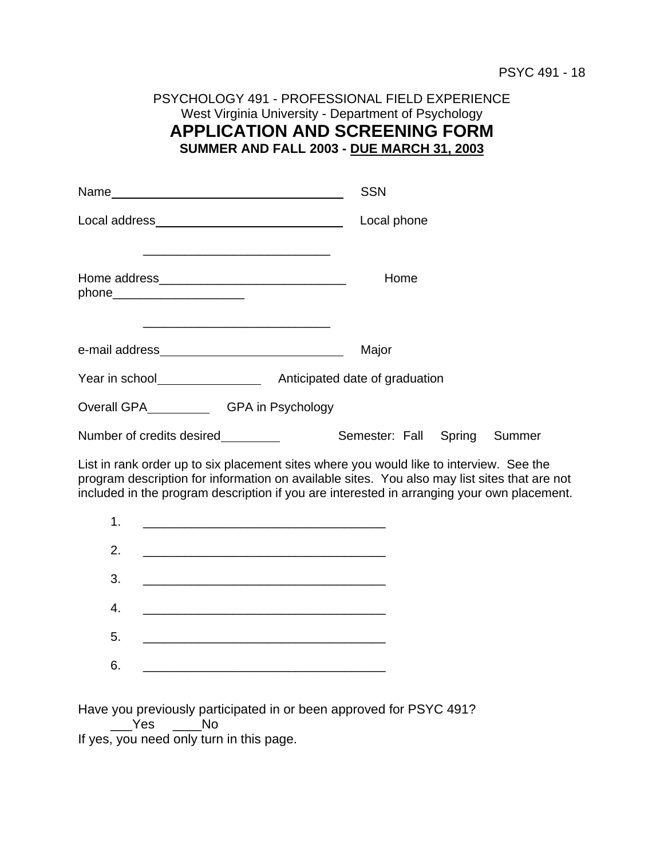# PSYCHOLOGY 491 - PROFESSIONAL FIELD EXPERIENCE West Virginia University - Department of Psychology **APPLICATION AND SCREENING FORM SUMMER AND FALL 2003 - DUE MARCH 31, 2003**

|                                                                                                                                                                                                                                  | <b>SSN</b>                                                                                                                                                                                                                                                                                                                                                                                                                                                  |
|----------------------------------------------------------------------------------------------------------------------------------------------------------------------------------------------------------------------------------|-------------------------------------------------------------------------------------------------------------------------------------------------------------------------------------------------------------------------------------------------------------------------------------------------------------------------------------------------------------------------------------------------------------------------------------------------------------|
|                                                                                                                                                                                                                                  | Local phone                                                                                                                                                                                                                                                                                                                                                                                                                                                 |
| phone_______________________<br><u> 1989 - Johann John Stone, markin amerikan besteht al-</u>                                                                                                                                    | Home                                                                                                                                                                                                                                                                                                                                                                                                                                                        |
|                                                                                                                                                                                                                                  | Major                                                                                                                                                                                                                                                                                                                                                                                                                                                       |
| Year in school<br>Notice that the set of the set of the set of the set of the set of the set of the set of the set of the set of the set of the set of the set of the set of the set of the set of the set of the set of the set | Anticipated date of graduation                                                                                                                                                                                                                                                                                                                                                                                                                              |
| Overall GPA SERIA COVER UP A GPA in Psychology                                                                                                                                                                                   |                                                                                                                                                                                                                                                                                                                                                                                                                                                             |
| Number of credits desired                                                                                                                                                                                                        | Semester: Fall Spring Summer                                                                                                                                                                                                                                                                                                                                                                                                                                |
|                                                                                                                                                                                                                                  | $\mathcal{L} = \{ \mathcal{L}^{\mathcal{L}} \mathcal{L}^{\mathcal{L}} \mathcal{L}^{\mathcal{L}} \mathcal{L}^{\mathcal{L}} \mathcal{L}^{\mathcal{L}} \mathcal{L}^{\mathcal{L}} \mathcal{L}^{\mathcal{L}} \mathcal{L}^{\mathcal{L}} \mathcal{L}^{\mathcal{L}} \mathcal{L}^{\mathcal{L}} \mathcal{L}^{\mathcal{L}} \mathcal{L}^{\mathcal{L}} \mathcal{L}^{\mathcal{L}} \mathcal{L}^{\mathcal{L}} \mathcal{L}^{\mathcal{L}} \mathcal{L}^{\mathcal{L}} \mathcal$ |

List in rank order up to six placement sites where you would like to interview. See the program description for information on available sites. You also may list sites that are not included in the program description if you are interested in arranging your own placement.

| 1. |                    |
|----|--------------------|
|    | 2. $\qquad \qquad$ |
| 3. |                    |
| 4. |                    |
| 5. |                    |
| 6. |                    |

Have you previously participated in or been approved for PSYC 491?

 \_\_\_Yes \_\_\_\_No If yes, you need only turn in this page.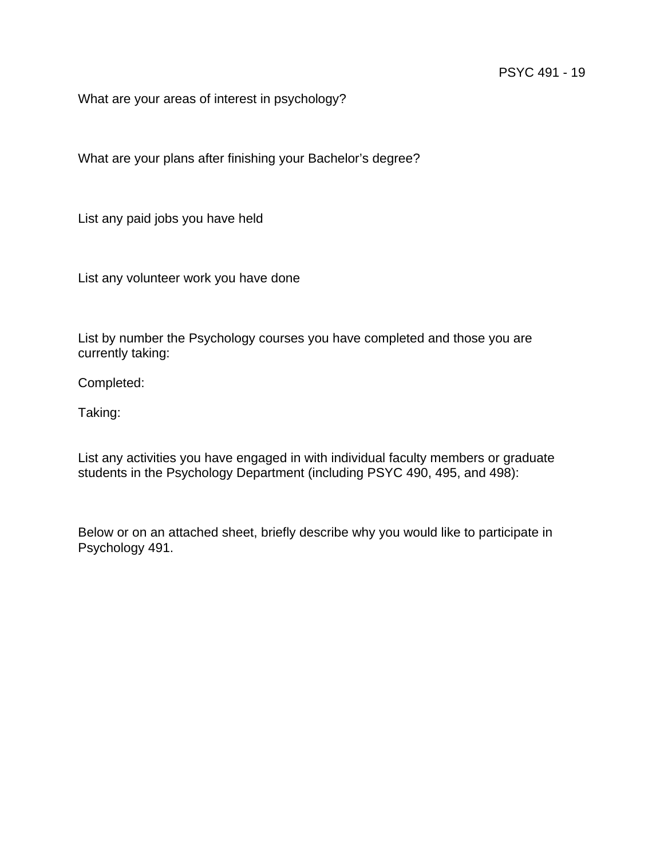What are your areas of interest in psychology?

What are your plans after finishing your Bachelor's degree?

List any paid jobs you have held

List any volunteer work you have done

List by number the Psychology courses you have completed and those you are currently taking:

Completed:

Taking:

List any activities you have engaged in with individual faculty members or graduate students in the Psychology Department (including PSYC 490, 495, and 498):

Below or on an attached sheet, briefly describe why you would like to participate in Psychology 491.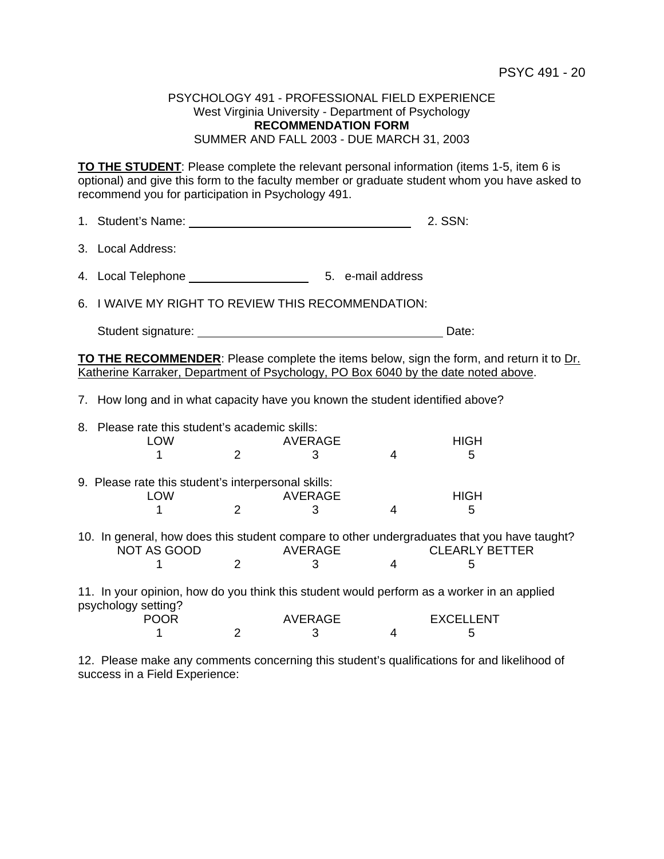#### PSYCHOLOGY 491 - PROFESSIONAL FIELD EXPERIENCE West Virginia University - Department of Psychology **RECOMMENDATION FORM** SUMMER AND FALL 2003 - DUE MARCH 31, 2003

**TO THE STUDENT**: Please complete the relevant personal information (items 1-5, item 6 is optional) and give this form to the faculty member or graduate student whom you have asked to recommend you for participation in Psychology 491.

| 1. Student's Name: | 2. SSN: |
|--------------------|---------|
|                    |         |

| 3. Local Address: |
|-------------------|
|                   |

4. Local Telephone 5. e-mail address

6. I WAIVE MY RIGHT TO REVIEW THIS RECOMMENDATION:

Student signature: Date: Date: Date: Date: Date: Date: Date: Date: Date: Date: Date: Date: Date: Date: Date: Date: Date: Date: Date: Date: Date: Date: Date: Date: Date: Date: Date: Date: Date: Date: Date: Date: Date: Date:

**TO THE RECOMMENDER**: Please complete the items below, sign the form, and return it to Dr. Katherine Karraker, Department of Psychology, PO Box 6040 by the date noted above.

7. How long and in what capacity have you known the student identified above?

| 8. Please rate this student's academic skills:<br><b>LOW</b>                                                      |   | AVERAGE        |   | <b>HIGH</b>           |  |
|-------------------------------------------------------------------------------------------------------------------|---|----------------|---|-----------------------|--|
|                                                                                                                   |   |                | 4 | 5                     |  |
| 9. Please rate this student's interpersonal skills:                                                               |   |                |   |                       |  |
| <b>LOW</b>                                                                                                        |   | <b>AVERAGE</b> |   | <b>HIGH</b>           |  |
|                                                                                                                   |   |                |   | 5                     |  |
| 10. In general, how does this student compare to other undergraduates that you have taught?<br><b>NOT AS GOOD</b> |   | AVERAGE        |   | <b>CLEARLY BETTER</b> |  |
|                                                                                                                   | 2 |                |   |                       |  |
| 11. In your opinion, how do you think this student would perform as a worker in an applied<br>psychology setting? |   |                |   |                       |  |
| <b>POOR</b>                                                                                                       |   | <b>AVERAGE</b> |   | <b>EXCELLENT</b>      |  |
|                                                                                                                   |   |                |   |                       |  |
|                                                                                                                   |   | З              | 4 | 5                     |  |

12. Please make any comments concerning this student's qualifications for and likelihood of success in a Field Experience: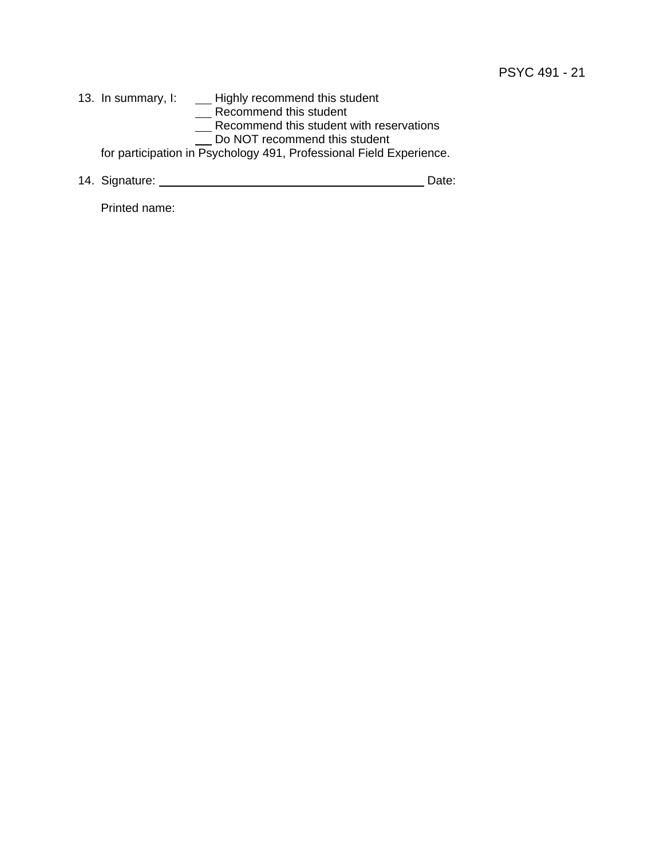13. In summary, I: \_\_\_\_\_ Highly recommend this student **Example 2018** 2019 2021 2022 2023 2024 2022 2023 2024 2022 2023 2024 2022 2023 2024 2022 2023 2024 2025 2026 20 Recommend this student with reservations Do NOT recommend this student for participation in Psychology 491, Professional Field Experience.

14. Signature: Date:

Printed name: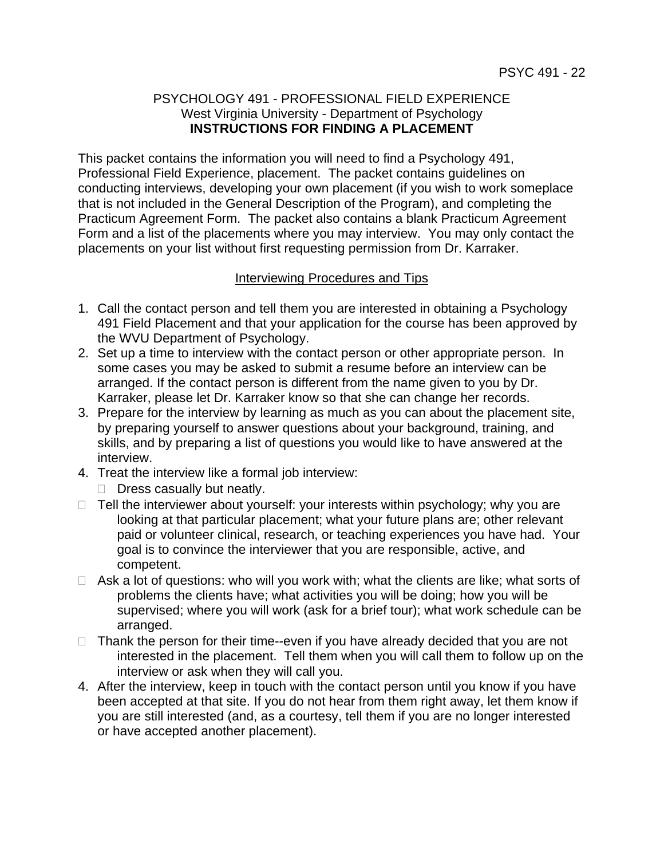### PSYCHOLOGY 491 - PROFESSIONAL FIELD EXPERIENCE West Virginia University - Department of Psychology **INSTRUCTIONS FOR FINDING A PLACEMENT**

This packet contains the information you will need to find a Psychology 491, Professional Field Experience, placement. The packet contains guidelines on conducting interviews, developing your own placement (if you wish to work someplace that is not included in the General Description of the Program), and completing the Practicum Agreement Form. The packet also contains a blank Practicum Agreement Form and a list of the placements where you may interview. You may only contact the placements on your list without first requesting permission from Dr. Karraker.

### Interviewing Procedures and Tips

- 1. Call the contact person and tell them you are interested in obtaining a Psychology 491 Field Placement and that your application for the course has been approved by the WVU Department of Psychology.
- 2. Set up a time to interview with the contact person or other appropriate person. In some cases you may be asked to submit a resume before an interview can be arranged. If the contact person is different from the name given to you by Dr. Karraker, please let Dr. Karraker know so that she can change her records.
- 3. Prepare for the interview by learning as much as you can about the placement site, by preparing yourself to answer questions about your background, training, and skills, and by preparing a list of questions you would like to have answered at the interview.
- 4. Treat the interview like a formal job interview:
	- $\Box$  Dress casually but neatly.
- $\Box$  Tell the interviewer about yourself: your interests within psychology; why you are looking at that particular placement; what your future plans are; other relevant paid or volunteer clinical, research, or teaching experiences you have had. Your goal is to convince the interviewer that you are responsible, active, and competent.
- $\Box$  Ask a lot of questions: who will you work with; what the clients are like; what sorts of problems the clients have; what activities you will be doing; how you will be supervised; where you will work (ask for a brief tour); what work schedule can be arranged.
- $\Box$  Thank the person for their time--even if you have already decided that you are not interested in the placement. Tell them when you will call them to follow up on the interview or ask when they will call you.
- 4. After the interview, keep in touch with the contact person until you know if you have been accepted at that site. If you do not hear from them right away, let them know if you are still interested (and, as a courtesy, tell them if you are no longer interested or have accepted another placement).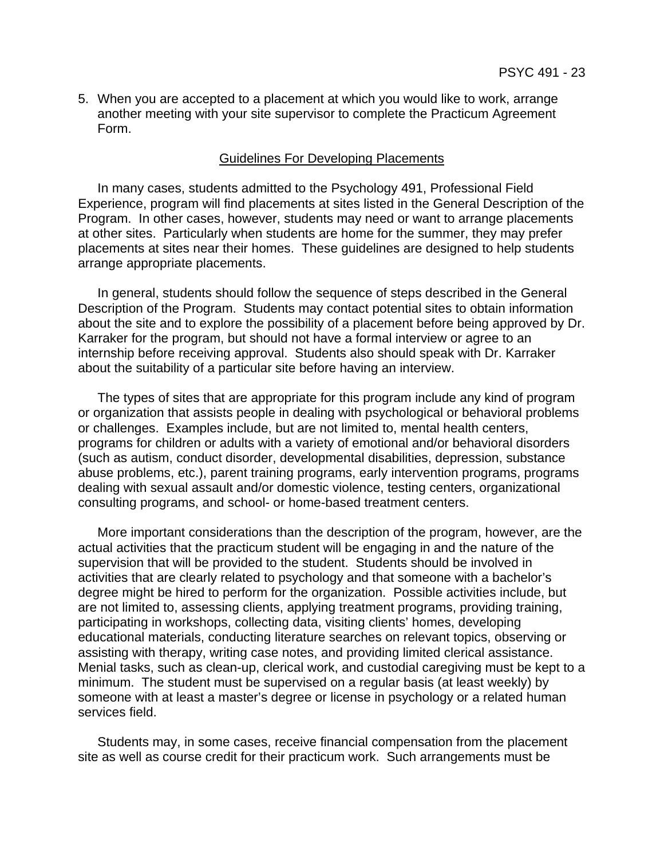5. When you are accepted to a placement at which you would like to work, arrange another meeting with your site supervisor to complete the Practicum Agreement Form.

#### Guidelines For Developing Placements

 In many cases, students admitted to the Psychology 491, Professional Field Experience, program will find placements at sites listed in the General Description of the Program. In other cases, however, students may need or want to arrange placements at other sites. Particularly when students are home for the summer, they may prefer placements at sites near their homes. These guidelines are designed to help students arrange appropriate placements.

 In general, students should follow the sequence of steps described in the General Description of the Program. Students may contact potential sites to obtain information about the site and to explore the possibility of a placement before being approved by Dr. Karraker for the program, but should not have a formal interview or agree to an internship before receiving approval. Students also should speak with Dr. Karraker about the suitability of a particular site before having an interview.

 The types of sites that are appropriate for this program include any kind of program or organization that assists people in dealing with psychological or behavioral problems or challenges. Examples include, but are not limited to, mental health centers, programs for children or adults with a variety of emotional and/or behavioral disorders (such as autism, conduct disorder, developmental disabilities, depression, substance abuse problems, etc.), parent training programs, early intervention programs, programs dealing with sexual assault and/or domestic violence, testing centers, organizational consulting programs, and school- or home-based treatment centers.

 More important considerations than the description of the program, however, are the actual activities that the practicum student will be engaging in and the nature of the supervision that will be provided to the student. Students should be involved in activities that are clearly related to psychology and that someone with a bachelor's degree might be hired to perform for the organization. Possible activities include, but are not limited to, assessing clients, applying treatment programs, providing training, participating in workshops, collecting data, visiting clients' homes, developing educational materials, conducting literature searches on relevant topics, observing or assisting with therapy, writing case notes, and providing limited clerical assistance. Menial tasks, such as clean-up, clerical work, and custodial caregiving must be kept to a minimum. The student must be supervised on a regular basis (at least weekly) by someone with at least a master's degree or license in psychology or a related human services field.

 Students may, in some cases, receive financial compensation from the placement site as well as course credit for their practicum work. Such arrangements must be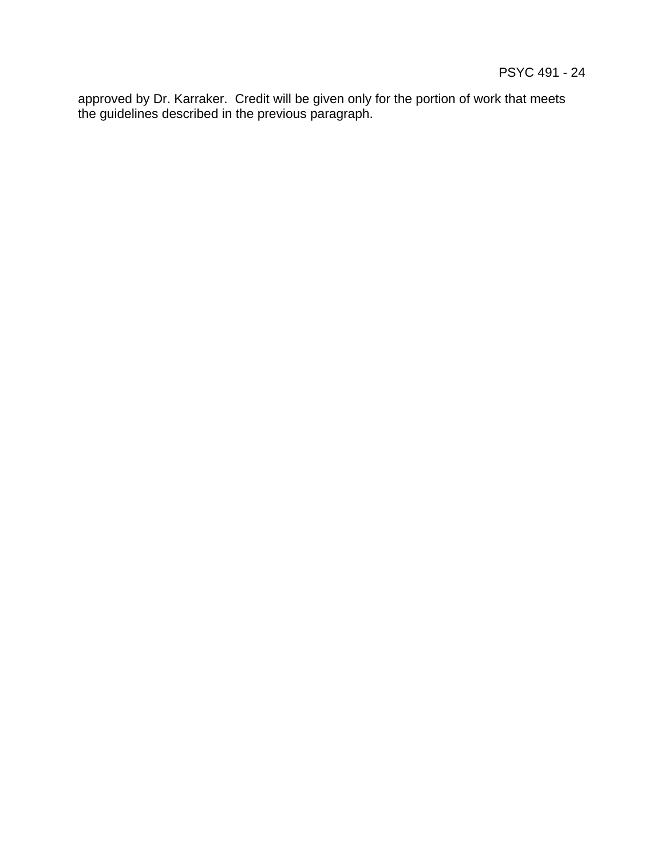approved by Dr. Karraker. Credit will be given only for the portion of work that meets the guidelines described in the previous paragraph.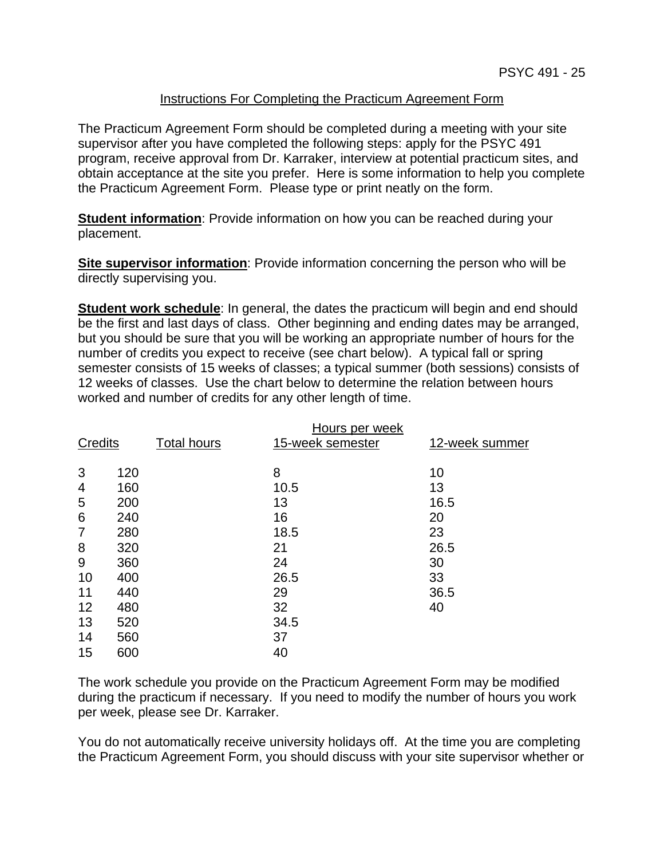### Instructions For Completing the Practicum Agreement Form

The Practicum Agreement Form should be completed during a meeting with your site supervisor after you have completed the following steps: apply for the PSYC 491 program, receive approval from Dr. Karraker, interview at potential practicum sites, and obtain acceptance at the site you prefer. Here is some information to help you complete the Practicum Agreement Form. Please type or print neatly on the form.

**Student information**: Provide information on how you can be reached during your placement.

**Site supervisor information**: Provide information concerning the person who will be directly supervising you.

**Student work schedule**: In general, the dates the practicum will begin and end should be the first and last days of class. Other beginning and ending dates may be arranged, but you should be sure that you will be working an appropriate number of hours for the number of credits you expect to receive (see chart below). A typical fall or spring semester consists of 15 weeks of classes; a typical summer (both sessions) consists of 12 weeks of classes. Use the chart below to determine the relation between hours worked and number of credits for any other length of time.

| <b>Credits</b> |            | <b>Total hours</b> | Hours per week<br>15-week semester | 12-week summer |
|----------------|------------|--------------------|------------------------------------|----------------|
| 3              | 120        |                    | 8                                  | 10             |
| 4              | 160        |                    | 10.5                               | 13             |
| 5              | 200        |                    | 13                                 | 16.5           |
| 6              | 240        |                    | 16                                 | 20             |
| 7              | 280        |                    | 18.5                               | 23             |
| 8              | 320        |                    | 21                                 | 26.5           |
| 9              | 360        |                    | 24                                 | 30             |
| 10             | 400        |                    | 26.5                               | 33             |
| 11             | 440        |                    | 29                                 | 36.5           |
| 12<br>13       | 480<br>520 |                    | 32<br>34.5                         | 40             |
| 14<br>15       | 560<br>600 |                    | 37<br>40                           |                |

The work schedule you provide on the Practicum Agreement Form may be modified during the practicum if necessary. If you need to modify the number of hours you work per week, please see Dr. Karraker.

You do not automatically receive university holidays off. At the time you are completing the Practicum Agreement Form, you should discuss with your site supervisor whether or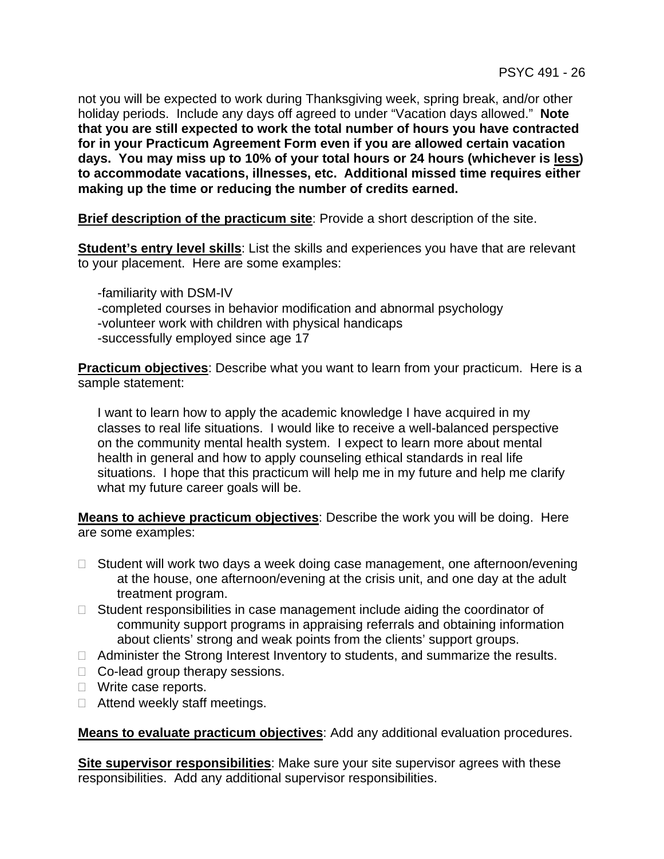not you will be expected to work during Thanksgiving week, spring break, and/or other holiday periods. Include any days off agreed to under "Vacation days allowed." **Note that you are still expected to work the total number of hours you have contracted for in your Practicum Agreement Form even if you are allowed certain vacation days. You may miss up to 10% of your total hours or 24 hours (whichever is less) to accommodate vacations, illnesses, etc. Additional missed time requires either making up the time or reducing the number of credits earned.**

**Brief description of the practicum site**: Provide a short description of the site.

**Student's entry level skills**: List the skills and experiences you have that are relevant to your placement. Here are some examples:

 -familiarity with DSM-IV -completed courses in behavior modification and abnormal psychology -volunteer work with children with physical handicaps -successfully employed since age 17

**Practicum objectives**: Describe what you want to learn from your practicum. Here is a sample statement:

I want to learn how to apply the academic knowledge I have acquired in my classes to real life situations. I would like to receive a well-balanced perspective on the community mental health system. I expect to learn more about mental health in general and how to apply counseling ethical standards in real life situations. I hope that this practicum will help me in my future and help me clarify what my future career goals will be.

**Means to achieve practicum objectives**: Describe the work you will be doing. Here are some examples:

- $\Box$  Student will work two days a week doing case management, one afternoon/evening at the house, one afternoon/evening at the crisis unit, and one day at the adult treatment program.
- $\Box$  Student responsibilities in case management include aiding the coordinator of community support programs in appraising referrals and obtaining information about clients' strong and weak points from the clients' support groups.
- $\Box$  Administer the Strong Interest Inventory to students, and summarize the results.
- □ Co-lead group therapy sessions.
- □ Write case reports.
- $\Box$  Attend weekly staff meetings.

**Means to evaluate practicum objectives**: Add any additional evaluation procedures.

**Site supervisor responsibilities**: Make sure your site supervisor agrees with these responsibilities. Add any additional supervisor responsibilities.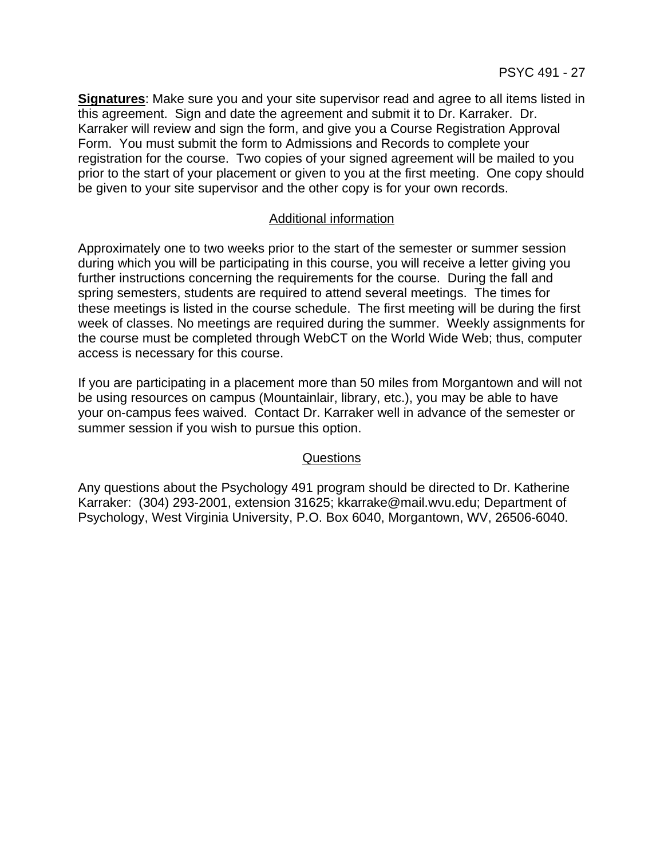**Signatures**: Make sure you and your site supervisor read and agree to all items listed in this agreement. Sign and date the agreement and submit it to Dr. Karraker. Dr. Karraker will review and sign the form, and give you a Course Registration Approval Form. You must submit the form to Admissions and Records to complete your registration for the course. Two copies of your signed agreement will be mailed to you prior to the start of your placement or given to you at the first meeting. One copy should be given to your site supervisor and the other copy is for your own records.

### Additional information

Approximately one to two weeks prior to the start of the semester or summer session during which you will be participating in this course, you will receive a letter giving you further instructions concerning the requirements for the course. During the fall and spring semesters, students are required to attend several meetings. The times for these meetings is listed in the course schedule. The first meeting will be during the first week of classes. No meetings are required during the summer. Weekly assignments for the course must be completed through WebCT on the World Wide Web; thus, computer access is necessary for this course.

If you are participating in a placement more than 50 miles from Morgantown and will not be using resources on campus (Mountainlair, library, etc.), you may be able to have your on-campus fees waived. Contact Dr. Karraker well in advance of the semester or summer session if you wish to pursue this option.

#### Questions

Any questions about the Psychology 491 program should be directed to Dr. Katherine Karraker: (304) 293-2001, extension 31625; kkarrake@mail.wvu.edu; Department of Psychology, West Virginia University, P.O. Box 6040, Morgantown, WV, 26506-6040.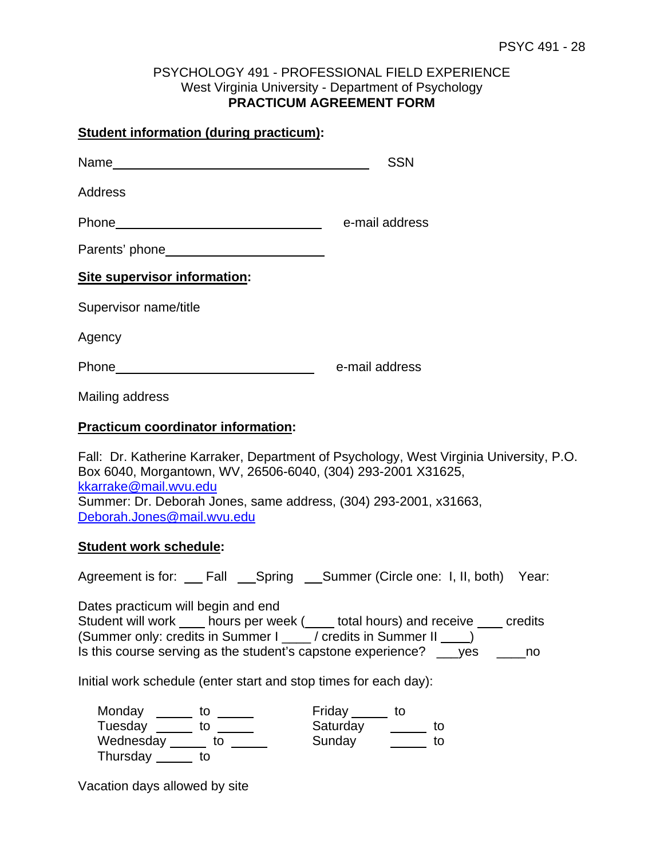### PSYCHOLOGY 491 - PROFESSIONAL FIELD EXPERIENCE West Virginia University - Department of Psychology **PRACTICUM AGREEMENT FORM**

#### **Student information (during practicum):**

Name
SSN

Address

Phone e-mail address

Parents' phone

# **Site supervisor information:**

Supervisor name/title

Agency

Phone e-mail address

Mailing address

### **Practicum coordinator information:**

Fall: Dr. Katherine Karraker, Department of Psychology, West Virginia University, P.O. Box 6040, Morgantown, WV, 26506-6040, (304) 293-2001 X31625, kkarrake@mail.wvu.edu Summer: Dr. Deborah Jones, same address, (304) 293-2001, x31663, Deborah.Jones@mail.wvu.edu

#### **Student work schedule:**

Agreement is for: \_\_ Fall \_\_Spring \_\_Summer (Circle one: I, II, both) Year:

Dates practicum will begin and end Student will work hours per week ( total hours) and receive credits (Summer only: credits in Summer I \_\_\_\_/ credits in Summer II \_\_\_\_) Is this course serving as the student's capstone experience? ves ho

Initial work schedule (enter start and stop times for each day):

| Monday    | Friday   |  |
|-----------|----------|--|
| Tuesday   | Saturday |  |
| Wednesday | Sunday   |  |
| Thursday  |          |  |

Vacation days allowed by site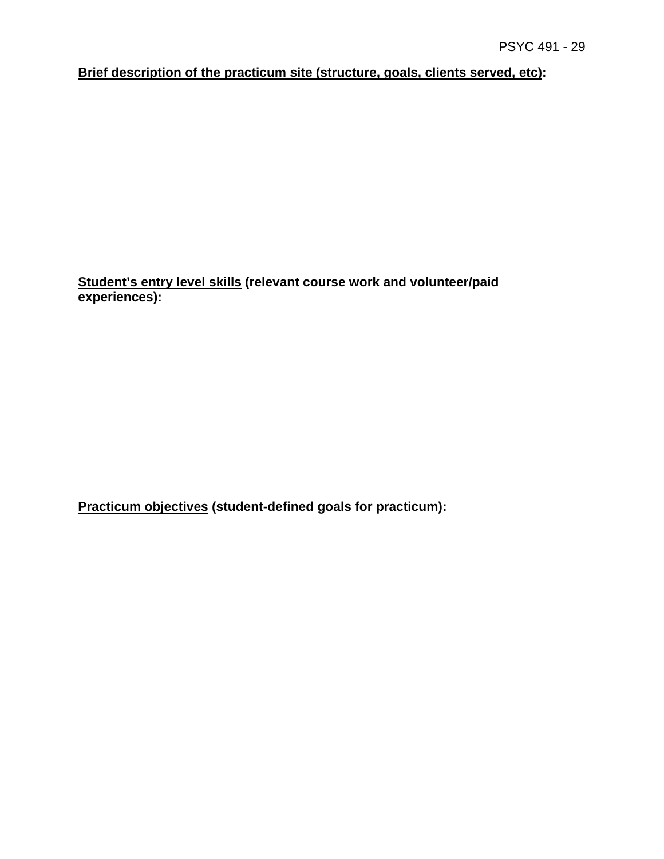**Brief description of the practicum site (structure, goals, clients served, etc):** 

**Student's entry level skills (relevant course work and volunteer/paid experiences):**

**Practicum objectives (student-defined goals for practicum):**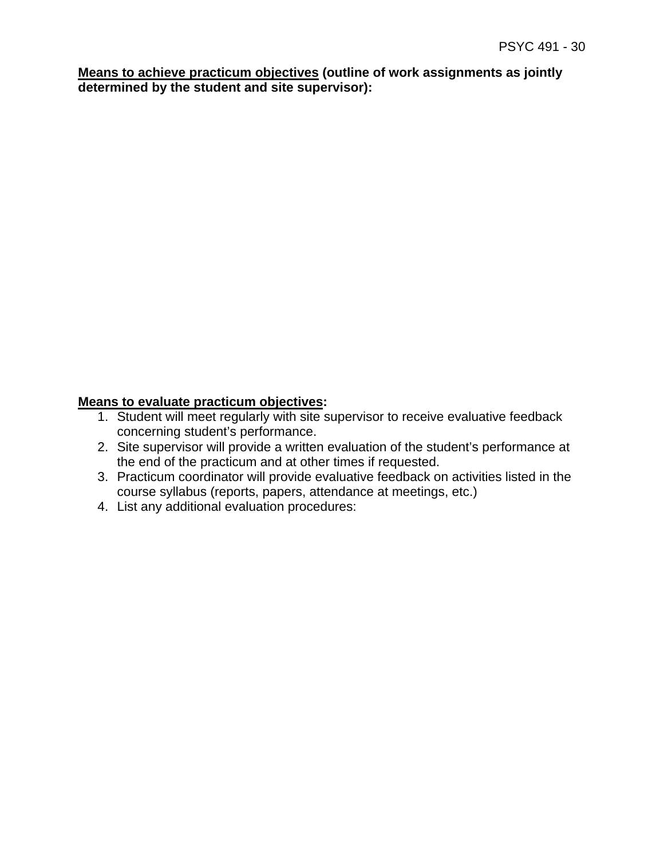**Means to achieve practicum objectives (outline of work assignments as jointly determined by the student and site supervisor):**

# **Means to evaluate practicum objectives:**

- 1. Student will meet regularly with site supervisor to receive evaluative feedback concerning student's performance.
- 2. Site supervisor will provide a written evaluation of the student's performance at the end of the practicum and at other times if requested.
- 3. Practicum coordinator will provide evaluative feedback on activities listed in the course syllabus (reports, papers, attendance at meetings, etc.)
- 4. List any additional evaluation procedures: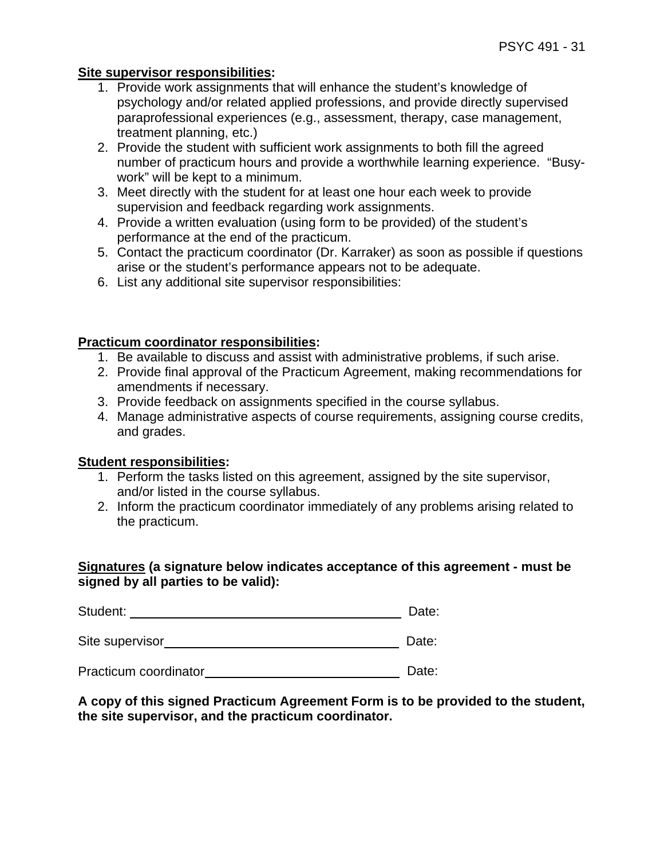### **Site supervisor responsibilities:**

- 1. Provide work assignments that will enhance the student's knowledge of psychology and/or related applied professions, and provide directly supervised paraprofessional experiences (e.g., assessment, therapy, case management, treatment planning, etc.)
- 2. Provide the student with sufficient work assignments to both fill the agreed number of practicum hours and provide a worthwhile learning experience. "Busywork" will be kept to a minimum.
- 3. Meet directly with the student for at least one hour each week to provide supervision and feedback regarding work assignments.
- 4. Provide a written evaluation (using form to be provided) of the student's performance at the end of the practicum.
- 5. Contact the practicum coordinator (Dr. Karraker) as soon as possible if questions arise or the student's performance appears not to be adequate.
- 6. List any additional site supervisor responsibilities:

### **Practicum coordinator responsibilities:**

- 1. Be available to discuss and assist with administrative problems, if such arise.
- 2. Provide final approval of the Practicum Agreement, making recommendations for amendments if necessary.
- 3. Provide feedback on assignments specified in the course syllabus.
- 4. Manage administrative aspects of course requirements, assigning course credits, and grades.

#### **Student responsibilities:**

- 1. Perform the tasks listed on this agreement, assigned by the site supervisor, and/or listed in the course syllabus.
- 2. Inform the practicum coordinator immediately of any problems arising related to the practicum.

### **Signatures (a signature below indicates acceptance of this agreement - must be signed by all parties to be valid):**

Student: Date:

Site supervisor Date:

Practicum coordinator **Date:** Date:

### **A copy of this signed Practicum Agreement Form is to be provided to the student, the site supervisor, and the practicum coordinator.**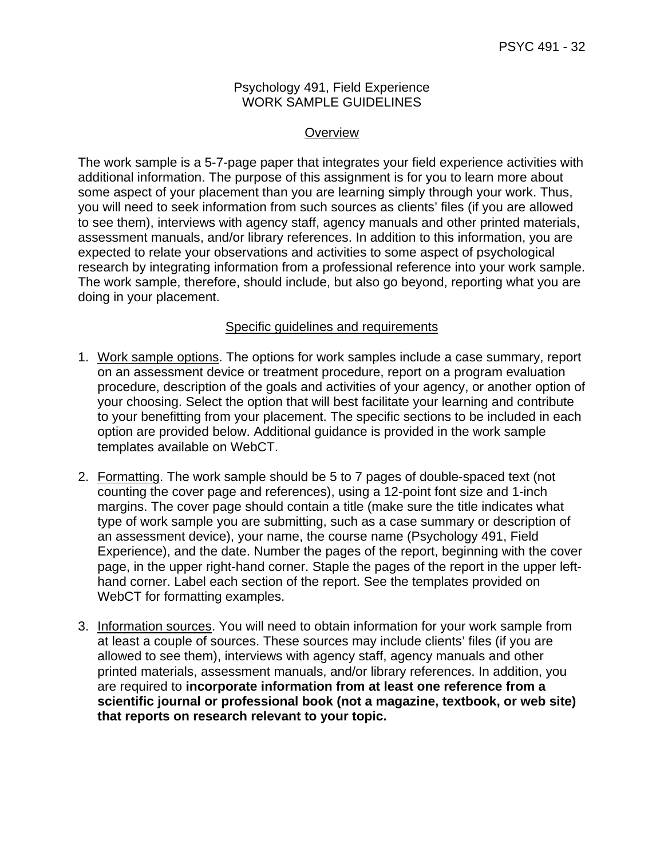#### Psychology 491, Field Experience WORK SAMPLE GUIDELINES

### **Overview**

The work sample is a 5-7-page paper that integrates your field experience activities with additional information. The purpose of this assignment is for you to learn more about some aspect of your placement than you are learning simply through your work. Thus, you will need to seek information from such sources as clients' files (if you are allowed to see them), interviews with agency staff, agency manuals and other printed materials, assessment manuals, and/or library references. In addition to this information, you are expected to relate your observations and activities to some aspect of psychological research by integrating information from a professional reference into your work sample. The work sample, therefore, should include, but also go beyond, reporting what you are doing in your placement.

# Specific guidelines and requirements

- 1. Work sample options. The options for work samples include a case summary, report on an assessment device or treatment procedure, report on a program evaluation procedure, description of the goals and activities of your agency, or another option of your choosing. Select the option that will best facilitate your learning and contribute to your benefitting from your placement. The specific sections to be included in each option are provided below. Additional guidance is provided in the work sample templates available on WebCT.
- 2. Formatting. The work sample should be 5 to 7 pages of double-spaced text (not counting the cover page and references), using a 12-point font size and 1-inch margins. The cover page should contain a title (make sure the title indicates what type of work sample you are submitting, such as a case summary or description of an assessment device), your name, the course name (Psychology 491, Field Experience), and the date. Number the pages of the report, beginning with the cover page, in the upper right-hand corner. Staple the pages of the report in the upper lefthand corner. Label each section of the report. See the templates provided on WebCT for formatting examples.
- 3. Information sources. You will need to obtain information for your work sample from at least a couple of sources. These sources may include clients' files (if you are allowed to see them), interviews with agency staff, agency manuals and other printed materials, assessment manuals, and/or library references. In addition, you are required to **incorporate information from at least one reference from a scientific journal or professional book (not a magazine, textbook, or web site) that reports on research relevant to your topic.**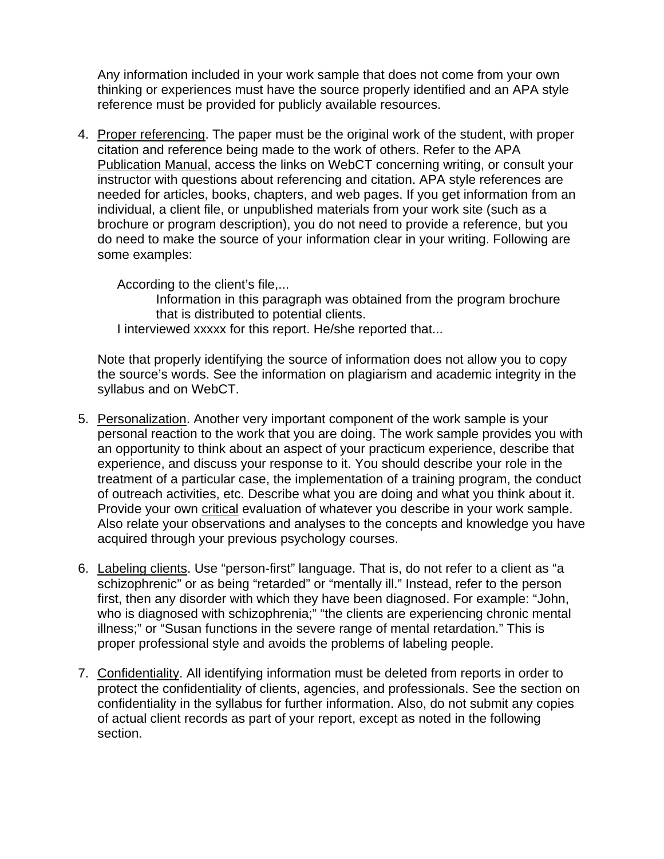Any information included in your work sample that does not come from your own thinking or experiences must have the source properly identified and an APA style reference must be provided for publicly available resources.

4. Proper referencing. The paper must be the original work of the student, with proper citation and reference being made to the work of others. Refer to the APA Publication Manual, access the links on WebCT concerning writing, or consult your instructor with questions about referencing and citation. APA style references are needed for articles, books, chapters, and web pages. If you get information from an individual, a client file, or unpublished materials from your work site (such as a brochure or program description), you do not need to provide a reference, but you do need to make the source of your information clear in your writing. Following are some examples:

According to the client's file,...

 Information in this paragraph was obtained from the program brochure that is distributed to potential clients.

I interviewed xxxxx for this report. He/she reported that...

Note that properly identifying the source of information does not allow you to copy the source's words. See the information on plagiarism and academic integrity in the syllabus and on WebCT.

- 5. Personalization. Another very important component of the work sample is your personal reaction to the work that you are doing. The work sample provides you with an opportunity to think about an aspect of your practicum experience, describe that experience, and discuss your response to it. You should describe your role in the treatment of a particular case, the implementation of a training program, the conduct of outreach activities, etc. Describe what you are doing and what you think about it. Provide your own critical evaluation of whatever you describe in your work sample. Also relate your observations and analyses to the concepts and knowledge you have acquired through your previous psychology courses.
- 6. Labeling clients. Use "person-first" language. That is, do not refer to a client as "a schizophrenic" or as being "retarded" or "mentally ill." Instead, refer to the person first, then any disorder with which they have been diagnosed. For example: "John, who is diagnosed with schizophrenia;" "the clients are experiencing chronic mental illness;" or "Susan functions in the severe range of mental retardation." This is proper professional style and avoids the problems of labeling people.
- 7. Confidentiality. All identifying information must be deleted from reports in order to protect the confidentiality of clients, agencies, and professionals. See the section on confidentiality in the syllabus for further information. Also, do not submit any copies of actual client records as part of your report, except as noted in the following section.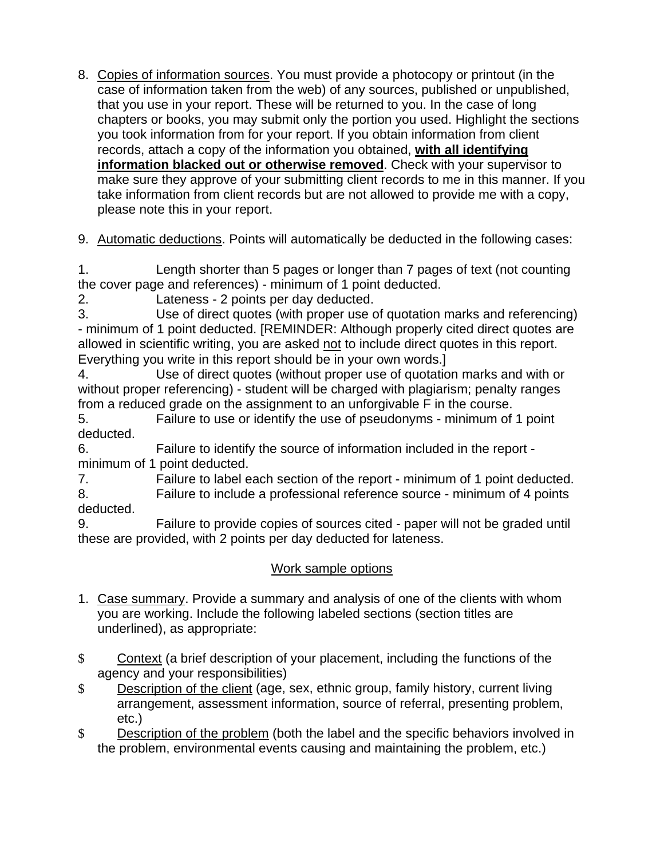8. Copies of information sources. You must provide a photocopy or printout (in the case of information taken from the web) of any sources, published or unpublished, that you use in your report. These will be returned to you. In the case of long chapters or books, you may submit only the portion you used. Highlight the sections you took information from for your report. If you obtain information from client records, attach a copy of the information you obtained, **with all identifying information blacked out or otherwise removed**. Check with your supervisor to make sure they approve of your submitting client records to me in this manner. If you take information from client records but are not allowed to provide me with a copy, please note this in your report.

9. Automatic deductions. Points will automatically be deducted in the following cases:

1. Length shorter than 5 pages or longer than 7 pages of text (not counting the cover page and references) - minimum of 1 point deducted.

2. Lateness - 2 points per day deducted.

3. Use of direct quotes (with proper use of quotation marks and referencing) - minimum of 1 point deducted. [REMINDER: Although properly cited direct quotes are allowed in scientific writing, you are asked not to include direct quotes in this report. Everything you write in this report should be in your own words.]

4. Use of direct quotes (without proper use of quotation marks and with or without proper referencing) - student will be charged with plagiarism; penalty ranges from a reduced grade on the assignment to an unforgivable F in the course.

5. Failure to use or identify the use of pseudonyms - minimum of 1 point deducted.

6. Failure to identify the source of information included in the report minimum of 1 point deducted.

7. Failure to label each section of the report - minimum of 1 point deducted. 8. Failure to include a professional reference source - minimum of 4 points

deducted.

9. Failure to provide copies of sources cited - paper will not be graded until these are provided, with 2 points per day deducted for lateness.

# Work sample options

- 1. Case summary. Provide a summary and analysis of one of the clients with whom you are working. Include the following labeled sections (section titles are underlined), as appropriate:
- \$ Context (a brief description of your placement, including the functions of the agency and your responsibilities)
- \$ Description of the client (age, sex, ethnic group, family history, current living arrangement, assessment information, source of referral, presenting problem, etc.)
- \$ Description of the problem (both the label and the specific behaviors involved in the problem, environmental events causing and maintaining the problem, etc.)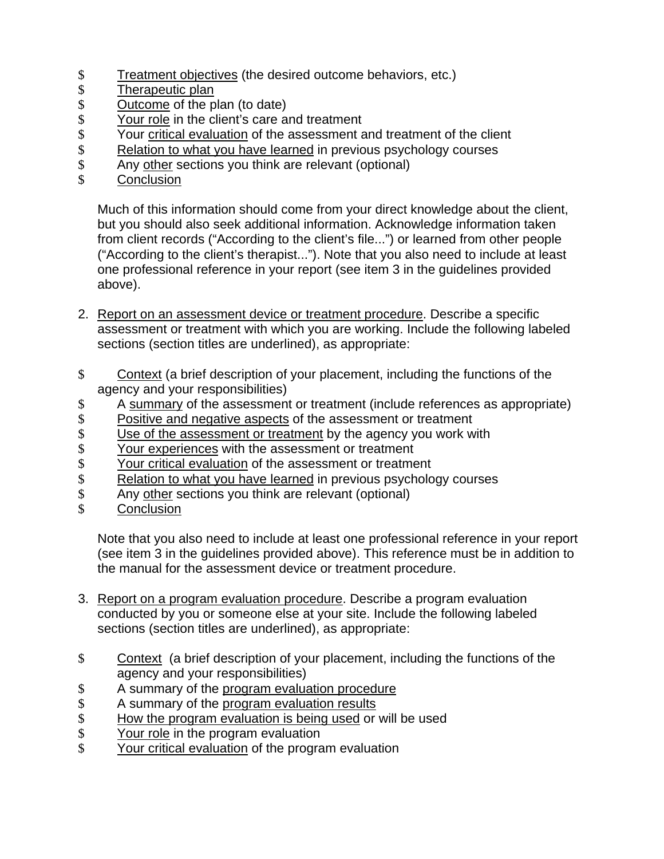- Treatment objectives (the desired outcome behaviors, etc.)<br>
5 Dutcome of the plan (to date)<br>
5
- Therapeutic plan
- \$ Outcome of the plan (to date)<br>\$ Your role in the client's care at
- \$ Your role in the client's care and treatment<br>\$ Your critical evaluation of the assessment a
- \$ Your critical evaluation of the assessment and treatment of the client<br>\$ Relation to what you have learned in previous psychology courses
- \$ Relation to what you have learned in previous psychology courses<br>\$ Any other sections you think are relevant (optional)
- Any other sections you think are relevant (optional)
- \$ Conclusion

Much of this information should come from your direct knowledge about the client, but you should also seek additional information. Acknowledge information taken from client records ("According to the client's file...") or learned from other people ("According to the client's therapist..."). Note that you also need to include at least one professional reference in your report (see item 3 in the guidelines provided above).

- 2. Report on an assessment device or treatment procedure. Describe a specific assessment or treatment with which you are working. Include the following labeled sections (section titles are underlined), as appropriate:
- \$ Context (a brief description of your placement, including the functions of the agency and your responsibilities)
- \$ A summary of the assessment or treatment (include references as appropriate)
- 
- \$ Positive and negative aspects of the assessment or treatment<br>\$ Use of the assessment or treatment by the agency you work w<br>\$ Your experiences with the assessment or treatment Use of the assessment or treatment by the agency you work with
- \$ Your experiences with the assessment or treatment<br>\$ Your critical evaluation of the assessment or treatment
- 
- \$ Your critical evaluation of the assessment or treatment<br>\$ Relation to what you have learned in previous psycholo \$ Relation to what you have learned in previous psychology courses<br>\$ Any other sections you think are relevant (optional)
- Any other sections you think are relevant (optional)
- \$ Conclusion

Note that you also need to include at least one professional reference in your report (see item 3 in the guidelines provided above). This reference must be in addition to the manual for the assessment device or treatment procedure.

- 3. Report on a program evaluation procedure. Describe a program evaluation conducted by you or someone else at your site. Include the following labeled sections (section titles are underlined), as appropriate:
- \$ Context (a brief description of your placement, including the functions of the agency and your responsibilities)
- \$ A summary of the program evaluation procedure
- \$ A summary of the program evaluation results<br>\$ How the program evaluation is being used or
- \$ How the program evaluation is being used or will be used<br>\$ Your role in the program evaluation
- \$ Your role in the program evaluation<br>\$ Your critical evaluation of the program
- Your critical evaluation of the program evaluation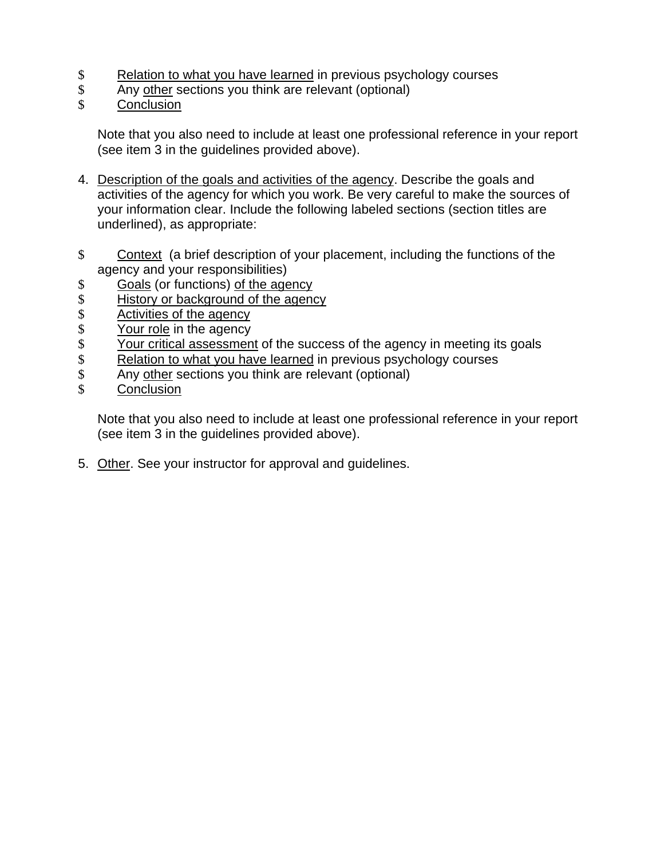- \$ Relation to what you have learned in previous psychology courses<br>\$ Any other sections you think are relevant (optional)
- Any other sections you think are relevant (optional)
- \$ Conclusion

Note that you also need to include at least one professional reference in your report (see item 3 in the guidelines provided above).

- 4. Description of the goals and activities of the agency. Describe the goals and activities of the agency for which you work. Be very careful to make the sources of your information clear. Include the following labeled sections (section titles are underlined), as appropriate:
- \$ Context (a brief description of your placement, including the functions of the agency and your responsibilities)
- \$ Goals (or functions) of the agency<br>\$ History or background of the agenc
- History or background of the agency
- \$ Activities of the agency<br>\$ Your role in the agency
- \$ Your role in the agency<br>\$ Your critical assessmen
- \$ Your critical assessment of the success of the agency in meeting its goals<br>\$ Relation to what you have learned in previous psychology courses
- \$ Relation to what you have learned in previous psychology courses<br>\$ Any other sections you think are relevant (optional)
- \$ Any other sections you think are relevant (optional)<br>\$ Conclusion
- **Conclusion**

Note that you also need to include at least one professional reference in your report (see item 3 in the guidelines provided above).

5. Other. See your instructor for approval and guidelines.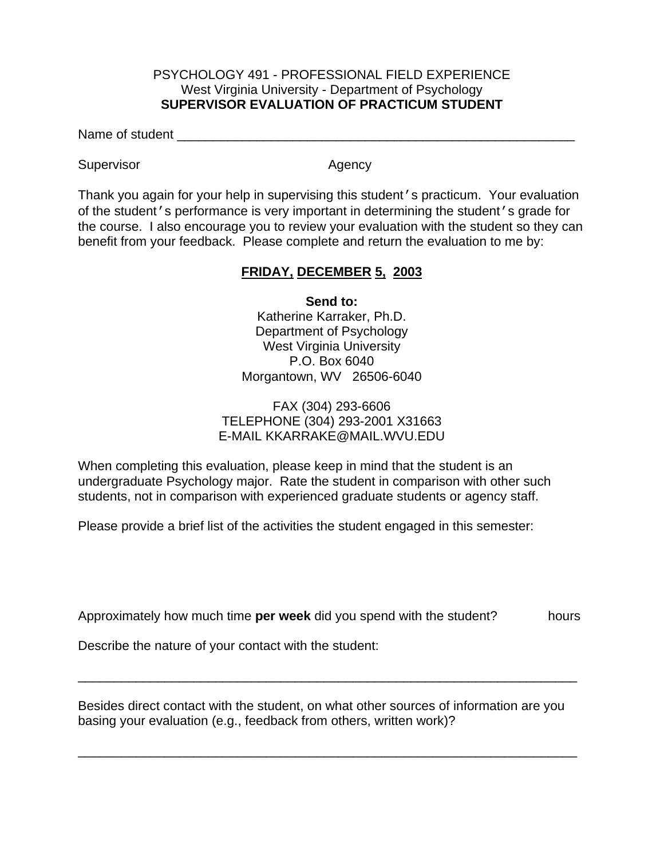### PSYCHOLOGY 491 - PROFESSIONAL FIELD EXPERIENCE West Virginia University - Department of Psychology **SUPERVISOR EVALUATION OF PRACTICUM STUDENT**

Name of student \_\_\_\_\_\_\_\_\_\_\_\_\_\_\_\_\_\_\_\_\_\_\_\_\_\_\_\_\_\_\_\_\_\_\_\_\_\_\_\_\_\_\_\_\_\_\_\_\_\_\_\_\_\_\_

Supervisor **Agency** Agency

Thank you again for your help in supervising this student's practicum. Your evaluation of the student's performance is very important in determining the student's grade for the course. I also encourage you to review your evaluation with the student so they can benefit from your feedback. Please complete and return the evaluation to me by:

# **FRIDAY, DECEMBER 5, 2003**

**Send to:**

 Katherine Karraker, Ph.D. Department of Psychology West Virginia University P.O. Box 6040 Morgantown, WV 26506-6040

### FAX (304) 293-6606 TELEPHONE (304) 293-2001 X31663 E-MAIL KKARRAKE@MAIL.WVU.EDU

When completing this evaluation, please keep in mind that the student is an undergraduate Psychology major. Rate the student in comparison with other such students, not in comparison with experienced graduate students or agency staff.

Please provide a brief list of the activities the student engaged in this semester:

Approximately how much time **per week** did you spend with the student? hours

\_\_\_\_\_\_\_\_\_\_\_\_\_\_\_\_\_\_\_\_\_\_\_\_\_\_\_\_\_\_\_\_\_\_\_\_\_\_\_\_\_\_\_\_\_\_\_\_\_\_\_\_\_\_\_\_\_\_\_\_\_\_\_\_\_\_\_\_\_

Describe the nature of your contact with the student:

Besides direct contact with the student, on what other sources of information are you basing your evaluation (e.g., feedback from others, written work)?

\_\_\_\_\_\_\_\_\_\_\_\_\_\_\_\_\_\_\_\_\_\_\_\_\_\_\_\_\_\_\_\_\_\_\_\_\_\_\_\_\_\_\_\_\_\_\_\_\_\_\_\_\_\_\_\_\_\_\_\_\_\_\_\_\_\_\_\_\_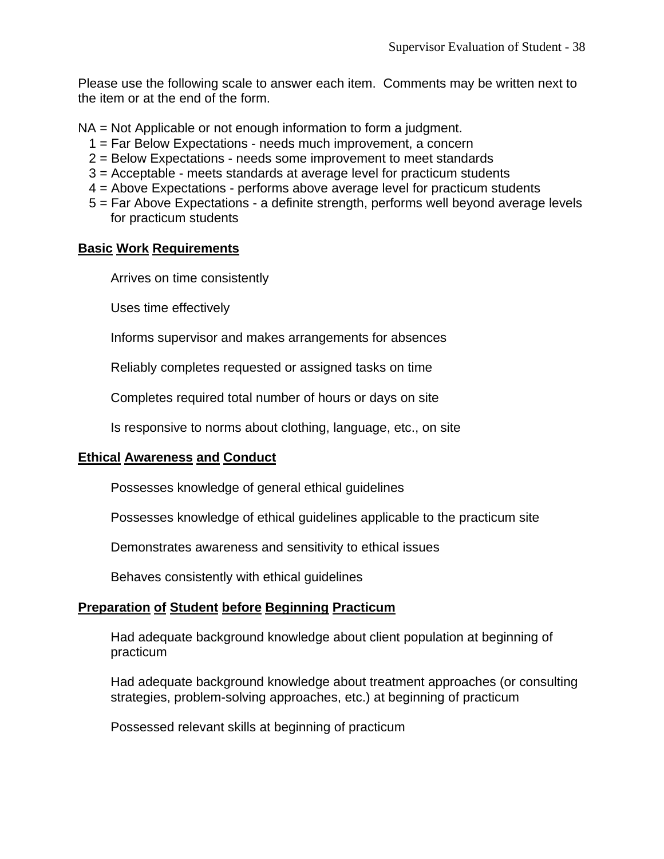Please use the following scale to answer each item. Comments may be written next to the item or at the end of the form.

NA = Not Applicable or not enough information to form a judgment.

- 1 = Far Below Expectations needs much improvement, a concern
- 2 = Below Expectations needs some improvement to meet standards
- 3 = Acceptable meets standards at average level for practicum students
- 4 = Above Expectations performs above average level for practicum students
- 5 = Far Above Expectations a definite strength, performs well beyond average levels for practicum students

### **Basic Work Requirements**

Arrives on time consistently

Uses time effectively

Informs supervisor and makes arrangements for absences

Reliably completes requested or assigned tasks on time

Completes required total number of hours or days on site

Is responsive to norms about clothing, language, etc., on site

### **Ethical Awareness and Conduct**

Possesses knowledge of general ethical guidelines

Possesses knowledge of ethical guidelines applicable to the practicum site

Demonstrates awareness and sensitivity to ethical issues

Behaves consistently with ethical guidelines

### **Preparation of Student before Beginning Practicum**

 Had adequate background knowledge about client population at beginning of practicum

 Had adequate background knowledge about treatment approaches (or consulting strategies, problem-solving approaches, etc.) at beginning of practicum

Possessed relevant skills at beginning of practicum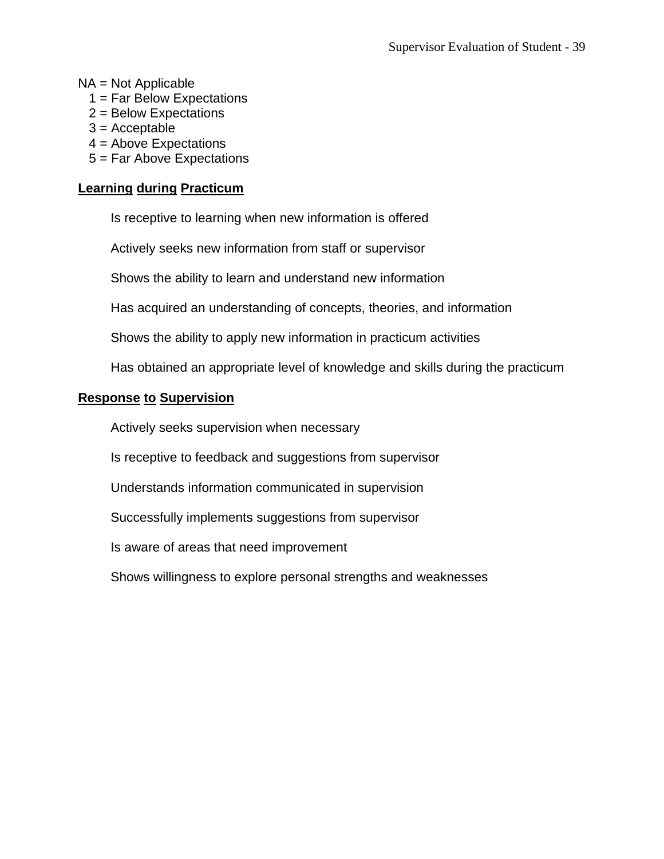NA = Not Applicable

- 1 = Far Below Expectations
- 2 = Below Expectations
- $3 =$  Acceptable
- 4 = Above Expectations
- 5 = Far Above Expectations

# **Learning during Practicum**

Is receptive to learning when new information is offered

Actively seeks new information from staff or supervisor

Shows the ability to learn and understand new information

Has acquired an understanding of concepts, theories, and information

Shows the ability to apply new information in practicum activities

Has obtained an appropriate level of knowledge and skills during the practicum

### **Response to Supervision**

Actively seeks supervision when necessary

Is receptive to feedback and suggestions from supervisor

Understands information communicated in supervision

Successfully implements suggestions from supervisor

Is aware of areas that need improvement

Shows willingness to explore personal strengths and weaknesses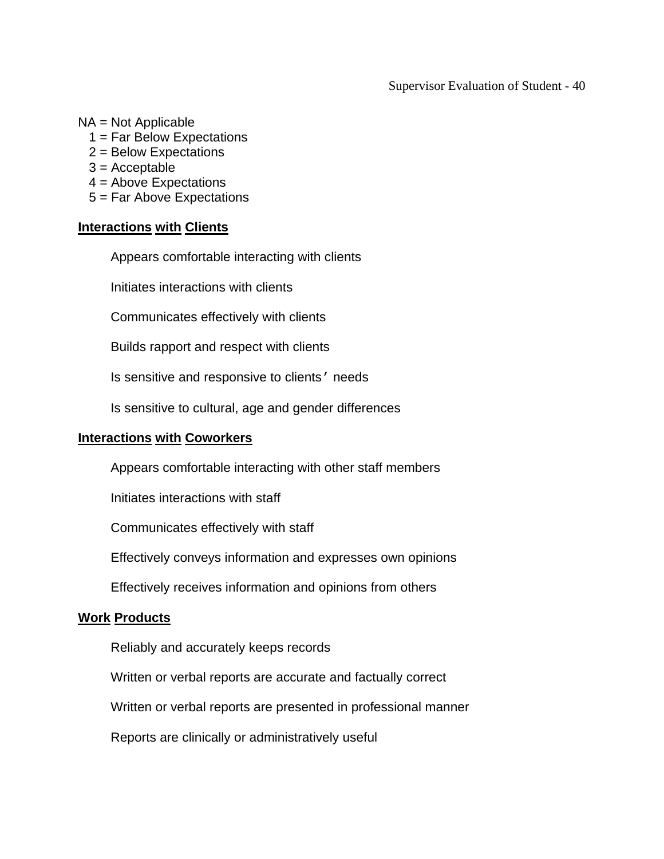Supervisor Evaluation of Student - 40

#### NA = Not Applicable

- 1 = Far Below Expectations
- 2 = Below Expectations
- $3 =$  Acceptable
- 4 = Above Expectations
- 5 = Far Above Expectations

#### **Interactions with Clients**

Appears comfortable interacting with clients

Initiates interactions with clients

Communicates effectively with clients

Builds rapport and respect with clients

Is sensitive and responsive to clients' needs

Is sensitive to cultural, age and gender differences

#### **Interactions with Coworkers**

Appears comfortable interacting with other staff members

Initiates interactions with staff

Communicates effectively with staff

Effectively conveys information and expresses own opinions

Effectively receives information and opinions from others

#### **Work Products**

Reliably and accurately keeps records

Written or verbal reports are accurate and factually correct

Written or verbal reports are presented in professional manner

Reports are clinically or administratively useful